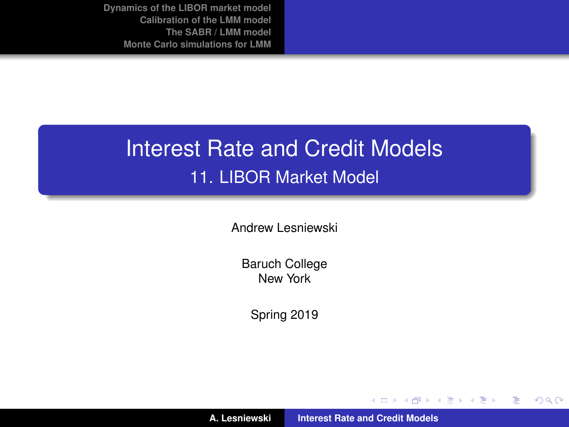# Interest Rate and Credit Models 11. LIBOR Market Model

Andrew Lesniewski

Baruch College New York

Spring 2019

(ロトス個) (運) (運)

 $299$ 

<span id="page-0-0"></span>重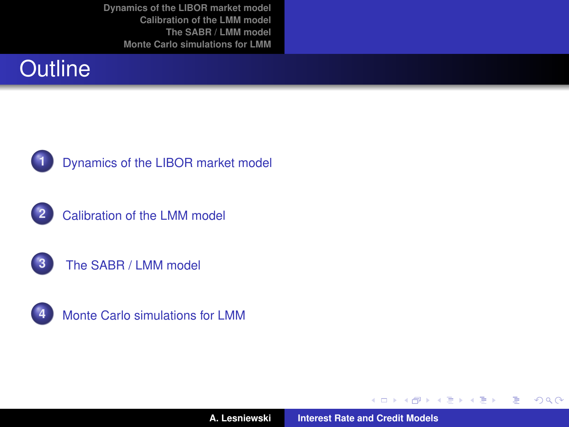



**1** [Dynamics of the LIBOR market model](#page-2-0)









**A. Lesniewski [Interest Rate and Credit Models](#page-0-0)**

(ロトス個) (運) (運)

 $299$ 

重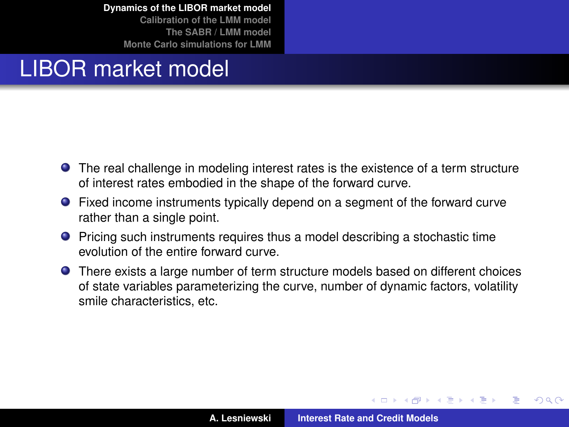**[Calibration of the LMM model](#page-19-0) [The SABR / LMM model](#page-39-0) [Monte Carlo simulations for LMM](#page-49-0)**

# LIBOR market model

- The real challenge in modeling interest rates is the existence of a term structure of interest rates embodied in the shape of the forward curve.
- Fixed income instruments typically depend on a segment of the forward curve rather than a single point.
- **•** Pricing such instruments requires thus a model describing a stochastic time evolution of the entire forward curve.
- There exists a large number of term structure models based on different choices of state variables parameterizing the curve, number of dynamic factors, volatility smile characteristics, etc.

イロメ イ部メ イ君メ イ君メー

<span id="page-2-0"></span>Þ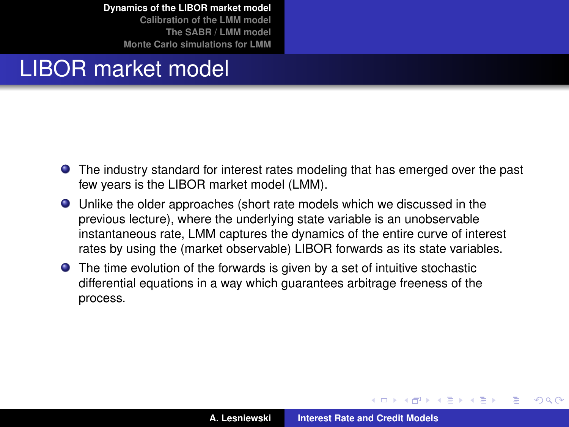**[Calibration of the LMM model](#page-19-0) [The SABR / LMM model](#page-39-0) [Monte Carlo simulations for LMM](#page-49-0)**

# LIBOR market model

- **•** The industry standard for interest rates modeling that has emerged over the past few years is the LIBOR market model (LMM).
- Unlike the older approaches (short rate models which we discussed in the previous lecture), where the underlying state variable is an unobservable instantaneous rate, LMM captures the dynamics of the entire curve of interest rates by using the (market observable) LIBOR forwards as its state variables.
- The time evolution of the forwards is given by a set of intuitive stochastic differential equations in a way which guarantees arbitrage freeness of the process.

 $\overline{AB}$   $\rightarrow$   $\overline{AB}$   $\rightarrow$   $\overline{AB}$   $\rightarrow$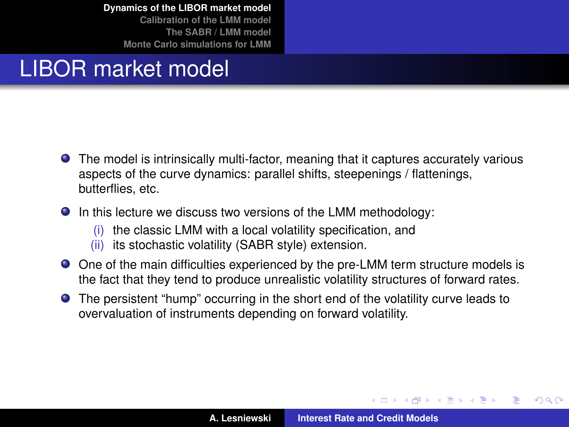**[Calibration of the LMM model](#page-19-0) [The SABR / LMM model](#page-39-0) [Monte Carlo simulations for LMM](#page-49-0)**

# LIBOR market model

- The model is intrinsically multi-factor, meaning that it captures accurately various aspects of the curve dynamics: parallel shifts, steepenings / flattenings, butterflies, etc.
- $\bullet$  In this lecture we discuss two versions of the LMM methodology:
	- (i) the classic LMM with a local volatility specification, and
	- (ii) its stochastic volatility (SABR style) extension.
- One of the main difficulties experienced by the pre-LMM term structure models is the fact that they tend to produce unrealistic volatility structures of forward rates.
- The persistent "hump" occurring in the short end of the volatility curve leads to overvaluation of instruments depending on forward volatility.

 $\left\{ \begin{array}{ccc} 1 & 0 & 0 \\ 0 & 1 & 0 \end{array} \right.$ 

Þ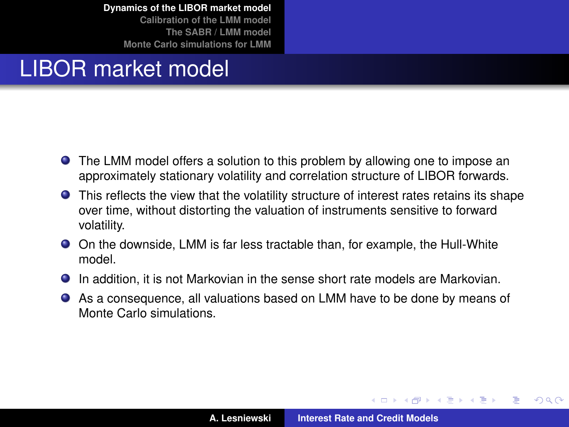**[Calibration of the LMM model](#page-19-0) [The SABR / LMM model](#page-39-0) [Monte Carlo simulations for LMM](#page-49-0)**

# LIBOR market model

- The LMM model offers a solution to this problem by allowing one to impose an approximately stationary volatility and correlation structure of LIBOR forwards.
- This reflects the view that the volatility structure of interest rates retains its shape over time, without distorting the valuation of instruments sensitive to forward volatility.
- On the downside, LMM is far less tractable than, for example, the Hull-White model.
- In addition, it is not Markovian in the sense short rate models are Markovian.
- As a consequence, all valuations based on LMM have to be done by means of Monte Carlo simulations.

 $\left\{ \begin{array}{ccc} 1 & 0 & 0 \\ 0 & 1 & 0 \end{array} \right.$ 

Þ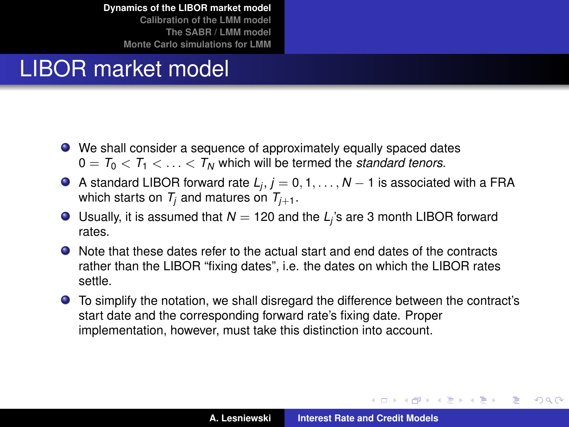**[Calibration of the LMM model](#page-19-0) [The SABR / LMM model](#page-39-0) [Monte Carlo simulations for LMM](#page-49-0)**

# LIBOR market model

- We shall consider a sequence of approximately equally spaced dates  $0 = T_0 < T_1 < \ldots < T_N$  which will be termed the *standard tenors*.
- A standard LIBOR forward rate *L<sup>j</sup>* , *j* = 0, 1, . . . , *N* − 1 is associated with a FRA which starts on  $T_i$  and matures on  $T_{i+1}$ .
- Usually, it is assumed that  $N = 120$  and the  $L_j$ 's are 3 month LIBOR forward rates.
- Note that these dates refer to the actual start and end dates of the contracts rather than the LIBOR "fixing dates", i.e. the dates on which the LIBOR rates settle.
- To simplify the notation, we shall disregard the difference between the contract's start date and the corresponding forward rate's fixing date. Proper implementation, however, must take this distinction into account.

イロメ イ部メ イヨメ イヨメー

 $299$ 

Þ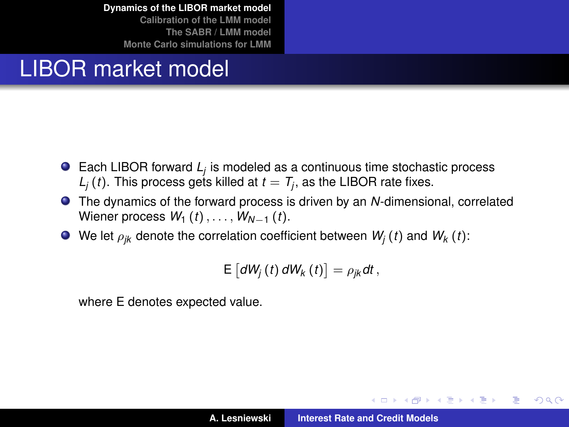**[Calibration of the LMM model](#page-19-0) [The SABR / LMM model](#page-39-0) [Monte Carlo simulations for LMM](#page-49-0)**

# LIBOR market model

- Each LIBOR forward *L<sup>j</sup>* is modeled as a continuous time stochastic process  $L_j$  (*t*). This process gets killed at  $t = T_j$ , as the LIBOR rate fixes.
- The dynamics of the forward process is driven by an *N*-dimensional, correlated Wiener process  $W_1(t), \ldots, W_{N-1}(t)$ .
- $\bullet$  We let  $\rho_{ik}$  denote the correlation coefficient between  $W_i(t)$  and  $W_k(t)$ :

$$
\mathsf{E}\left[dW_{j}\left(t\right)dW_{k}\left(t\right)\right]=\rho_{jk}dt,
$$

where E denotes expected value.

イロメ イ部メ イ君メ イ君メー

 $2Q$ Œ.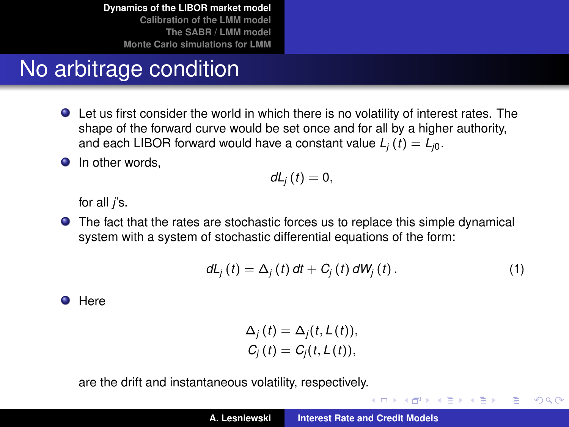# No arbitrage condition

- Let us first consider the world in which there is no volatility of interest rates. The shape of the forward curve would be set once and for all by a higher authority, and each LIBOR forward would have a constant value  $L_i(t) = L_{i0}$ .
- $\bullet$  In other words.

$$
dL_j(t)=0,
$$

for all *j*'s.

The fact that the rates are stochastic forces us to replace this simple dynamical system with a system of stochastic differential equations of the form:

$$
dL_j(t) = \Delta_j(t) dt + C_j(t) dW_j(t).
$$
 (1)

イロメ イ部メ イヨメ イヨメー

 $QQQ$ 重

**O** Here

$$
\Delta_j(t) = \Delta_j(t, L(t)),
$$
  
\n
$$
C_j(t) = C_j(t, L(t)),
$$

are the drift and instantaneous volatility, respectively.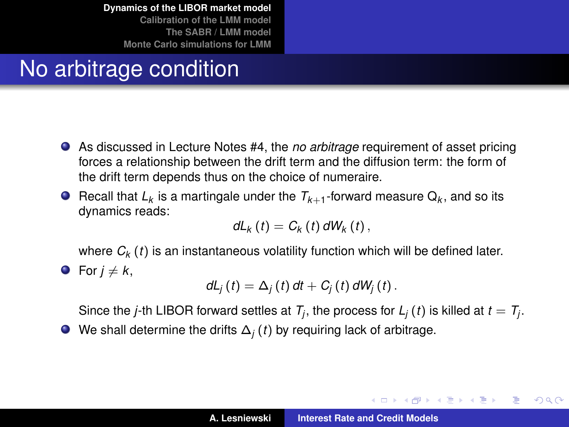## No arbitrage condition

- As discussed in Lecture Notes #4, the *no arbitrage* requirement of asset pricing forces a relationship between the drift term and the diffusion term: the form of the drift term depends thus on the choice of numeraire.
- Recall that  $L_k$  is a martingale under the  $T_{k+1}$ -forward measure  $Q_k$ , and so its dynamics reads:

$$
dL_{k}(t)=C_{k}(t) dW_{k}(t),
$$

where  $C_k$  (*t*) is an instantaneous volatility function which will be defined later.

• For 
$$
j \neq k
$$
,

$$
dL_j(t) = \Delta_j(t) dt + C_j(t) dW_j(t).
$$

Since the *j*-th LIBOR forward settles at  $T_j$ , the process for  $L_j$  (*t*) is killed at  $t=T_j$ .

We shall determine the drifts ∆*<sup>j</sup>* (*t*) by requiring lack of arbitrage.

イロメ イ団メ イヨメ イヨメー

B

 $QQQ$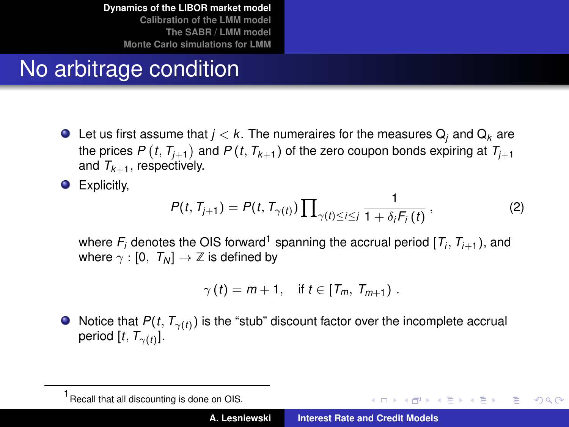# No arbitrage condition

 $\bullet$  Let us first assume that  $j < k$ . The numeraires for the measures  $Q_i$  and  $Q_k$  are the prices  $P\left(t, T_{j+1}\right)$  and  $P\left(t, T_{k+1}\right)$  of the zero coupon bonds expiring at  $T_{j+1}$ and  $T_{k+1}$ , respectively.

**•** Explicitly,

$$
P(t, T_{j+1}) = P(t, T_{\gamma(t)}) \prod_{\gamma(t) \le i \le j} \frac{1}{1 + \delta_i F_i(t)},
$$
 (2)

where  $F_i$  denotes the OIS forward<sup>1</sup> spanning the accrual period  $[T_i, T_{i+1})$ , and where  $\gamma : [0, T_N] \to \mathbb{Z}$  is defined by

$$
\gamma(t) = m + 1, \quad \text{if } t \in [T_m, T_{m+1}).
$$

Notice that  $P(t,\, T_{\gamma(t)})$  is the "stub" discount factor over the incomplete accrual period  $[t, T_{\gamma(t)}].$ 

イロメ イ団メ イヨメ イヨメー

重

 $2Q$ 

<sup>1</sup> Recall that all discounting is done on OIS.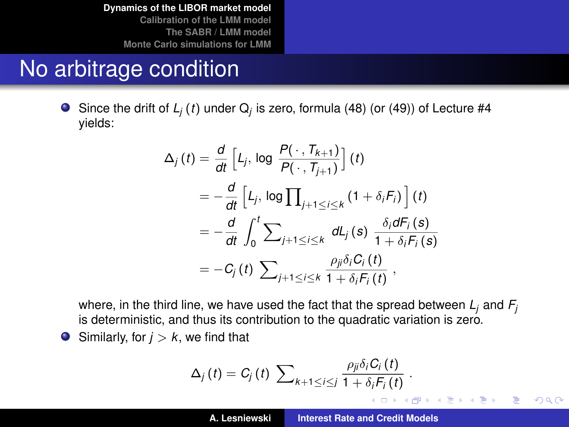## No arbitrage condition

 $\bullet$ Since the drift of *L<sup>j</sup>* (*t*) under Q*<sup>j</sup>* is zero, formula (48) (or (49)) of Lecture #4 yields:

$$
\Delta_{j}(t) = \frac{d}{dt} \left[ L_{j}, \log \frac{P(\cdot, T_{k+1})}{P(\cdot, T_{j+1})} \right] (t)
$$
\n
$$
= -\frac{d}{dt} \left[ L_{j}, \log \prod_{j+1 \leq i \leq k} (1 + \delta_{i} F_{i}) \right] (t)
$$
\n
$$
= -\frac{d}{dt} \int_{0}^{t} \sum_{j+1 \leq i \leq k} dL_{j}(s) \frac{\delta_{i} dF_{i}(s)}{1 + \delta_{i} F_{i}(s)}
$$
\n
$$
= -C_{j}(t) \sum_{j+1 \leq i \leq k} \frac{\rho_{ji} \delta_{i} C_{i}(t)}{1 + \delta_{i} F_{i}(t)},
$$

where, in the third line, we have used the fact that the spread between  $L_i$  and  $F_i$ is deterministic, and thus its contribution to the quadratic variation is zero.

 $\bullet$  Similarly, for  $j > k$ , we find that

$$
\Delta_j(t) = C_j(t) \sum\nolimits_{k+1 \leq i \leq j} \frac{\rho_{ji} \delta_i C_i(t)}{1 + \delta_i F_i(t)}.
$$

 $299$ 

重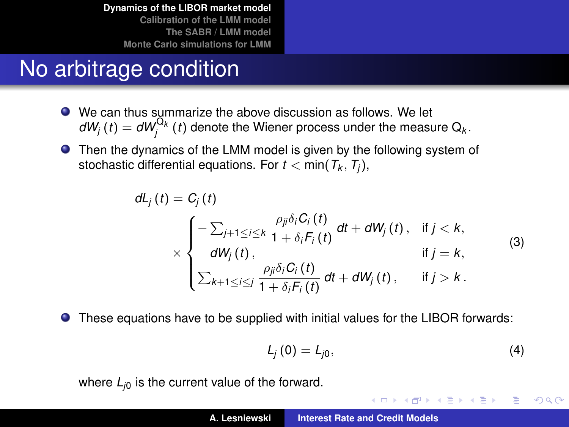# No arbitrage condition

- We can thus summarize the above discussion as follows. We let  $dW_j(t) = dW_j^{\mathbf{Q}_k}(t)$  denote the Wiener process under the measure  $\mathbf{Q}_k$ .
- Then the dynamics of the LMM model is given by the following system of stochastic differential equations. For *t* < min(*T<sup>k</sup>* , *T<sup>j</sup>* ),

$$
dL_j(t) = C_j(t)
$$
  
\n
$$
\times \begin{cases}\n-\sum_{j+1 \leq i \leq k} \frac{\rho_{ji} \delta_i C_i(t)}{1 + \delta_i F_i(t)} dt + dW_j(t), & \text{if } j < k, \\
dW_j(t), & \text{if } j = k,\n\end{cases}
$$
\n(3)  
\n
$$
\sum_{k+1 \leq i \leq j} \frac{\rho_{ji} \delta_i C_i(t)}{1 + \delta_i F_i(t)} dt + dW_j(t), \quad \text{if } j > k.
$$

These equations have to be supplied with initial values for the LIBOR forwards:  $\bullet$ 

$$
L_j(0) = L_{j0}, \qquad (4)
$$

K ロ ⊁ K 伊 ⊁ K 君 ⊁ K 君 ⊁ …

÷.  $299$ 

where  $L_{i0}$  is the current value of the forward.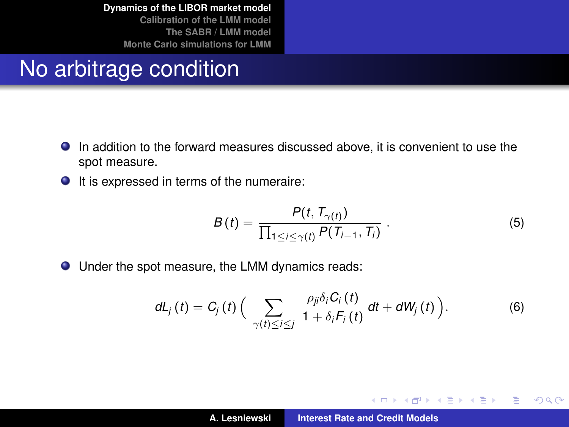#### No arbitrage condition

- In addition to the forward measures discussed above, it is convenient to use the spot measure.
- $\bullet$  It is expressed in terms of the numeraire:

$$
B(t) = \frac{P(t, T_{\gamma(t)})}{\prod_{1 \leq i \leq \gamma(t)} P(T_{i-1}, T_i)}.
$$
\n
$$
(5)
$$

イロメ イ部メ イ君メ イ君メー

 $299$ 

重

Under the spot measure, the LMM dynamics reads:

$$
dL_j(t) = C_j(t) \left( \sum_{\gamma(t) \leq i \leq j} \frac{\rho_{ji} \delta_i C_i(t)}{1 + \delta_i F_i(t)} dt + dW_j(t) \right).
$$
 (6)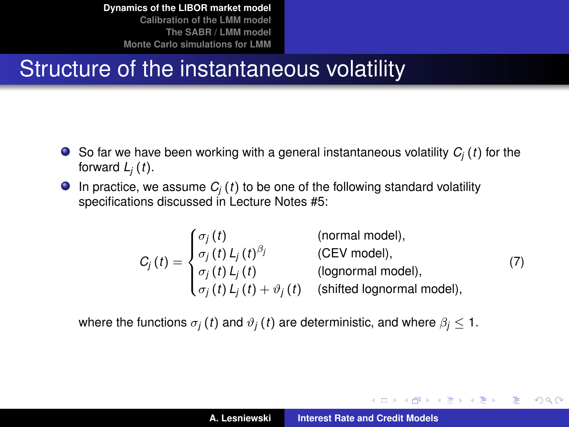## Structure of the instantaneous volatility

- $\bullet$  So far we have been working with a general instantaneous volatility  $C_i(t)$  for the forward  $L_j(t)$ .
- **In practice, we assume**  $C_i(t)$  **to be one of the following standard volatility** specifications discussed in Lecture Notes #5:

$$
C_j(t) = \begin{cases} \sigma_j(t) & \text{(normal model)},\\ \sigma_j(t) L_j(t)^{\beta_j} & \text{(CEV model)},\\ \sigma_j(t) L_j(t) & \text{(lognormal model)},\\ \sigma_j(t) L_j(t) + \vartheta_j(t) & \text{(shifted lognormal model)}, \end{cases}
$$
(7)

where the functions  $\sigma_j(t)$  and  $\vartheta_j(t)$  are deterministic, and where  $\beta_j \leq 1$ .

K ロ ⊁ K 伊 ⊁ K 君 ⊁ K 君 ⊁ …

重  $2Q$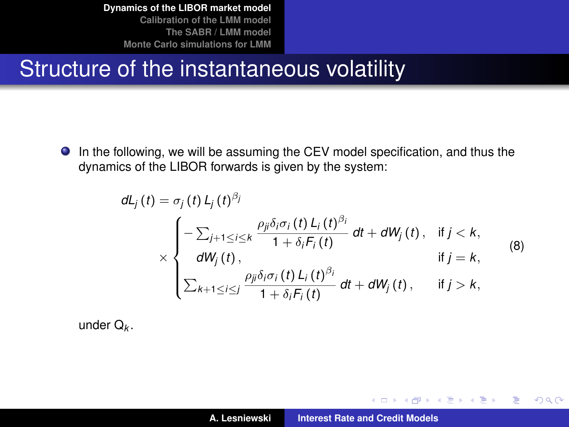#### Structure of the instantaneous volatility

In the following, we will be assuming the CEV model specification, and thus the dynamics of the LIBOR forwards is given by the system:

$$
dL_j(t) = \sigma_j(t) L_j(t)^{\beta_j}
$$
  
\n
$$
\times \begin{cases}\n-\sum_{j+1 \leq i \leq k} \frac{\rho_{ji} \delta_i \sigma_i(t) L_i(t)^{\beta_i}}{1 + \delta_i F_i(t)} dt + dW_j(t), & \text{if } j < k, \\
dW_j(t), & \text{if } j = k,\n\end{cases}
$$
\n(8)  
\n
$$
\sum_{k+1 \leq i \leq j} \frac{\rho_{ji} \delta_i \sigma_i(t) L_i(t)^{\beta_i}}{1 + \delta_i F_i(t)} dt + dW_j(t), \quad \text{if } j > k,
$$

under Q*<sup>k</sup>* .

イロメ イ部メ イヨメ イヨメー

 $299$ 

<span id="page-15-0"></span>重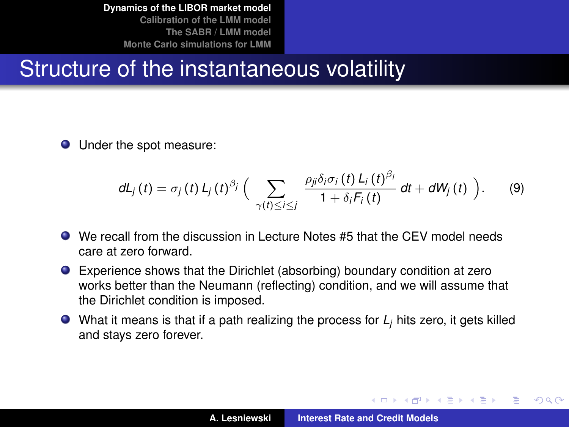### Structure of the instantaneous volatility

**O** Under the spot measure:

$$
dL_j(t) = \sigma_j(t) L_j(t)^{\beta_j} \Big( \sum_{\gamma(t) \leq i \leq j} \frac{\rho_{ji} \delta_i \sigma_i(t) L_i(t)^{\beta_i}}{1 + \delta_i F_i(t)} dt + dW_j(t) \Big).
$$
 (9)

- We recall from the discussion in Lecture Notes #5 that the CEV model needs care at zero forward.
- Experience shows that the Dirichlet (absorbing) boundary condition at zero works better than the Neumann (reflecting) condition, and we will assume that the Dirichlet condition is imposed.
- What it means is that if a path realizing the process for *L<sup>j</sup>* hits zero, it gets killed and stays zero forever.

イロメ イ部メ イヨメ イヨメー

Þ

 $QQQ$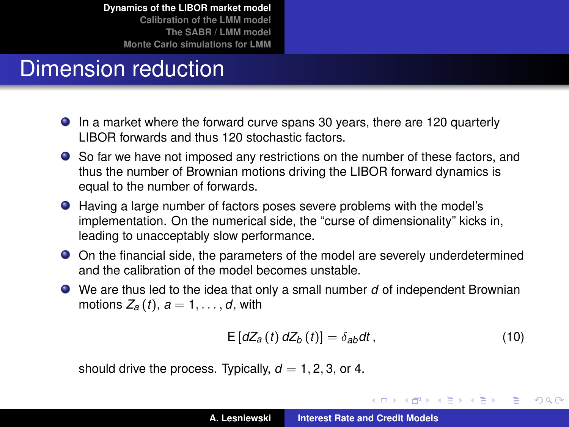**[Calibration of the LMM model](#page-19-0) [The SABR / LMM model](#page-39-0) [Monte Carlo simulations for LMM](#page-49-0)**

# Dimension reduction

- In a market where the forward curve spans 30 years, there are 120 quarterly LIBOR forwards and thus 120 stochastic factors.
- So far we have not imposed any restrictions on the number of these factors, and thus the number of Brownian motions driving the LIBOR forward dynamics is equal to the number of forwards.
- Having a large number of factors poses severe problems with the model's implementation. On the numerical side, the "curse of dimensionality" kicks in, leading to unacceptably slow performance.
- On the financial side, the parameters of the model are severely underdetermined and the calibration of the model becomes unstable.
- We are thus led to the idea that only a small number *d* of independent Brownian motions  $Z_a(t)$ ,  $a = 1, \ldots, d$ , with

$$
E\left[dZ_{a}\left(t\right)dZ_{b}\left(t\right)\right]=\delta_{ab}dt\,,\tag{10}
$$

イロメ イ部メ イヨメ イヨメー

 $299$ 

B

should drive the process. Typically,  $d = 1, 2, 3$ , or 4.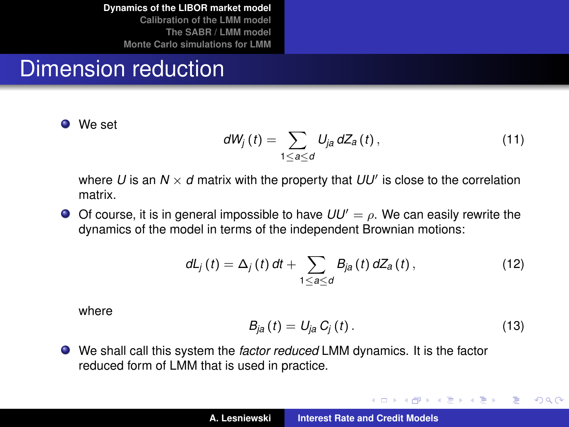**[Dynamics of the LIBOR market model](#page-2-0) [Calibration of the LMM model](#page-19-0)**

**[The SABR / LMM model](#page-39-0) [Monte Carlo simulations for LMM](#page-49-0)**

### Dimension reduction

**O** We set

$$
dW_j(t) = \sum_{1 \leq a \leq d} U_{ja} dZ_a(t), \qquad (11)
$$

where  $U$  is an  $N \times d$  matrix with the property that  $UU'$  is close to the correlation matrix.

 $\bullet$  Of course, it is in general impossible to have  $UU' = \rho$ . We can easily rewrite the dynamics of the model in terms of the independent Brownian motions:

$$
dL_j(t) = \Delta_j(t) dt + \sum_{1 \leq a \leq d} B_{ja}(t) dZ_a(t), \qquad (12)
$$

where

$$
B_{ja}(t) = U_{ja} C_j(t). \qquad (13)
$$

イロメ イ部メ イヨメ イヨメー

 $QQ$ 

<span id="page-18-0"></span>重

We shall call this system the *factor reduced* LMM dynamics. It is the factor reduced form of LMM that is used in practice.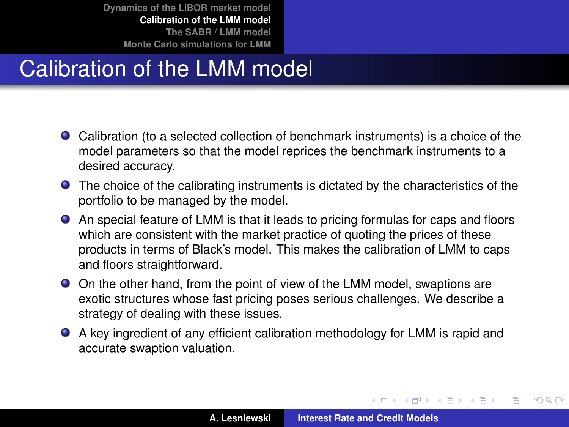# Calibration of the LMM model

- Calibration (to a selected collection of benchmark instruments) is a choice of the model parameters so that the model reprices the benchmark instruments to a desired accuracy.
- The choice of the calibrating instruments is dictated by the characteristics of the portfolio to be managed by the model.
- An special feature of LMM is that it leads to pricing formulas for caps and floors which are consistent with the market practice of quoting the prices of these products in terms of Black's model. This makes the calibration of LMM to caps and floors straightforward.
- On the other hand, from the point of view of the LMM model, swaptions are exotic structures whose fast pricing poses serious challenges. We describe a strategy of dealing with these issues.
- A key ingredient of any efficient calibration methodology for LMM is rapid and accurate swaption valuation.

イロメ イ部メ イヨメ イヨメー

 $QQ$ 

<span id="page-19-0"></span>Þ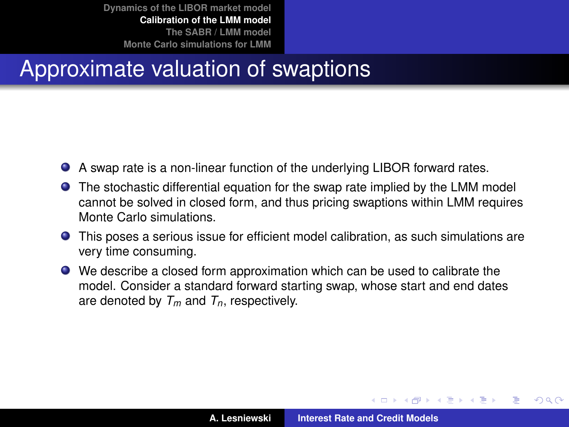### Approximate valuation of swaptions

- A swap rate is a non-linear function of the underlying LIBOR forward rates.
- The stochastic differential equation for the swap rate implied by the LMM model cannot be solved in closed form, and thus pricing swaptions within LMM requires Monte Carlo simulations.
- This poses a serious issue for efficient model calibration, as such simulations are very time consuming.
- We describe a closed form approximation which can be used to calibrate the model. Consider a standard forward starting swap, whose start and end dates are denoted by *Tm* and *Tn*, respectively.

<span id="page-20-0"></span>(ロトス個) (運) (運)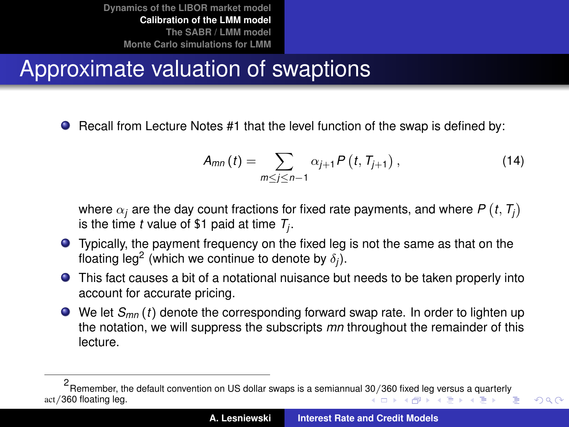# Approximate valuation of swaptions

**•** Recall from Lecture Notes #1 that the level function of the swap is defined by:

$$
A_{mn}(t) = \sum_{m \le j \le n-1} \alpha_{j+1} P(t, T_{j+1}), \qquad (14)
$$

<span id="page-21-0"></span> $QQ$ 

where  $\alpha_j$  are the day count fractions for fixed rate payments, and where  $P\left(t,T_j\right)$ is the time *t* value of \$1 paid at time *T<sup>j</sup>* .

- Typically, the payment frequency on the fixed leg is not the same as that on the floating leg<sup>2</sup> (which we continue to denote by  $\delta_j$ ).
- This fact causes a bit of a notational nuisance but needs to be taken properly into account for accurate pricing.
- We let *S<sub>mn</sub>* (*t*) denote the corresponding forward swap rate. In order to lighten up the notation, we will suppress the subscripts *mn* throughout the remainder of this lecture.

<sup>2</sup> Remember, the default convention on US dollar swaps is a semiannual [30](#page-20-0)/3[60](#page-22-0) [fix](#page-20-0)[ed l](#page-21-0)[eg](#page-22-0) [v](#page-18-0)[er](#page-19-0)[su](#page-38-0)[s](#page-39-0) [a](#page-18-0) [qu](#page-19-0)[a](#page-38-0)[rte](#page-39-0)[rly](#page-0-0) act/360 floating leg. K ロ ⊁ K 御 ⊁ K 君 ⊁ K 君 ⊁ Þ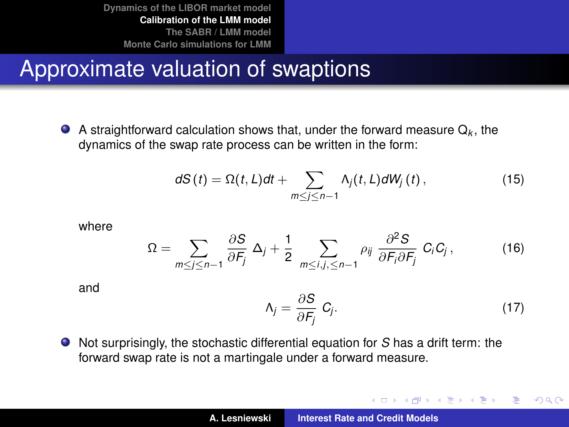### Approximate valuation of swaptions

A straightforward calculation shows that, under the forward measure  $\mathsf{Q}_k$ , the dynamics of the swap rate process can be written in the form:

$$
dS(t) = \Omega(t, L)dt + \sum_{m \le j \le n-1} \Lambda_j(t, L)dW_j(t), \qquad (15)
$$

where

$$
\Omega = \sum_{m \le j \le n-1} \frac{\partial S}{\partial F_j} \Delta_j + \frac{1}{2} \sum_{m \le i, j, \le n-1} \rho_{ij} \frac{\partial^2 S}{\partial F_i \partial F_j} C_i C_j, \qquad (16)
$$

and

<span id="page-22-1"></span>
$$
\Lambda_j = \frac{\partial S}{\partial F_j} C_j. \tag{17}
$$

イロメ イ団メ イヨメ イヨメー

 $299$ 

<span id="page-22-0"></span>重

Not surprisingly, the stochastic differential equation for *S* has a drift term: the forward swap rate is not a martingale under a forward measure.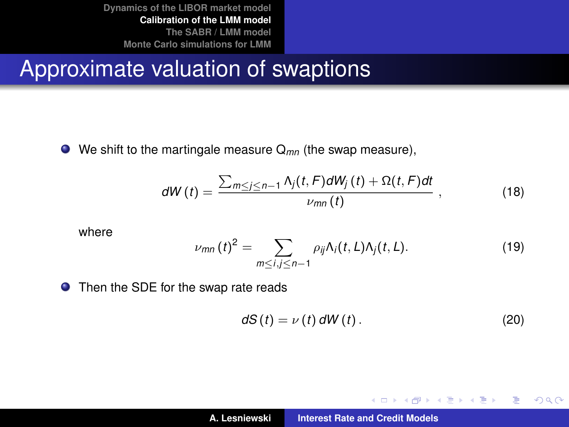#### Approximate valuation of swaptions

We shift to the martingale measure Q*mn* (the swap measure),

$$
dW(t) = \frac{\sum_{m \le j \le n-1} \Lambda_j(t, F) dW_j(t) + \Omega(t, F) dt}{\nu_{mn}(t)},
$$
\n(18)

where

$$
\nu_{mn}(t)^2 = \sum_{m \le i,j \le n-1} \rho_{ij} \Lambda_i(t,L) \Lambda_j(t,L). \tag{19}
$$

● Then the SDE for the swap rate reads

$$
dS(t) = \nu(t) dW(t).
$$
 (20)

<span id="page-23-1"></span><span id="page-23-0"></span>イロメ イ部メ イヨメ イヨメー

 $299$ 

重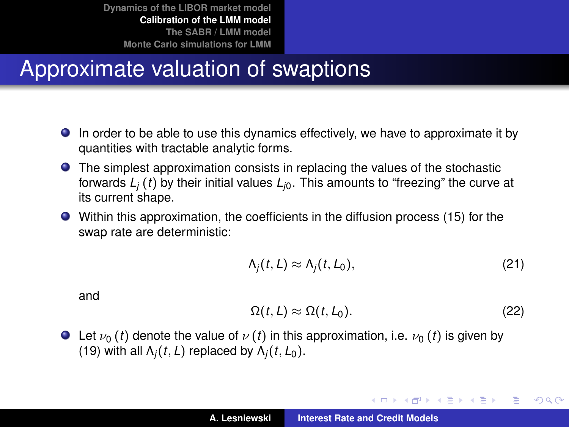### Approximate valuation of swaptions

- In order to be able to use this dynamics effectively, we have to approximate it by quantities with tractable analytic forms.
- The simplest approximation consists in replacing the values of the stochastic forwards  $L_i(t)$  by their initial values  $L_i$ . This amounts to "freezing" the curve at its current shape.
- Within this approximation, the coefficients in the diffusion process [\(15\)](#page-22-1) for the swap rate are deterministic:

$$
\Lambda_j(t,L) \approx \Lambda_j(t,L_0),\tag{21}
$$

and

$$
\Omega(t, L) \approx \Omega(t, L_0). \tag{22}
$$

K ロ ⊁ K 伊 ⊁ K 君 ⊁ K 君 ⊁ …

 $299$ 

重

**Example 1** Let  $\nu_0$  (*t*) denote the value of  $\nu$  (*t*) in this approximation, i.e.  $\nu_0$  (*t*) is given by [\(19\)](#page-23-0) with all  $\Lambda_i(t, L)$  replaced by  $\Lambda_i(t, L_0)$ .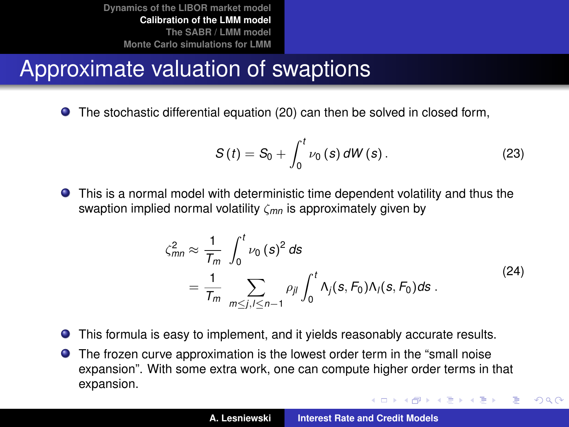# Approximate valuation of swaptions

The stochastic differential equation [\(20\)](#page-23-1) can then be solved in closed form,

$$
S(t) = S_0 + \int_0^t \nu_0(s) \, dW(s) \,. \tag{23}
$$

This is a normal model with deterministic time dependent volatility and thus the swaption implied normal volatility ζ*mn* is approximately given by

$$
\zeta_{mn}^2 \approx \frac{1}{T_m} \int_0^t \nu_0(s)^2 ds
$$
  
= 
$$
\frac{1}{T_m} \sum_{m \le j, l \le n-1} \rho_{jl} \int_0^t \Lambda_j(s, F_0) \Lambda_l(s, F_0) ds.
$$
 (24)

イロメ イ部メ イヨメ イヨメー

 $QQ$ 

Þ

- $\bullet$ This formula is easy to implement, and it yields reasonably accurate results.
- The frozen curve approximation is the lowest order term in the "small noise expansion". With some extra work, one can compute higher order terms in that expansion.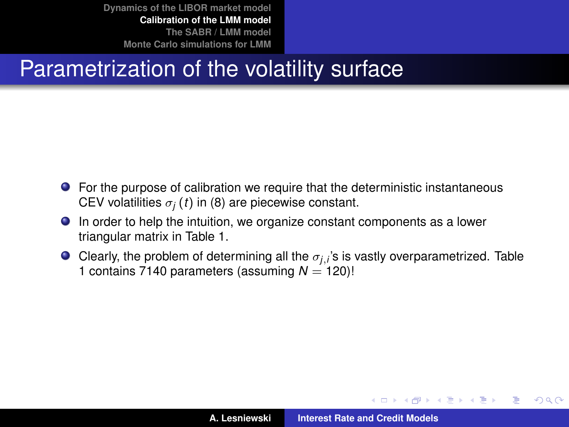# Parametrization of the volatility surface

- For the purpose of calibration we require that the deterministic instantaneous CEV volatilities  $\sigma_i(t)$  in [\(8\)](#page-15-0) are piecewise constant.
- In order to help the intuition, we organize constant components as a lower triangular matrix in Table [1.](#page-27-0)
- Clearly, the problem of determining all the  $\sigma_{j,i}$ 's is vastly overparametrized. Table [1](#page-27-0) contains 7140 parameters (assuming  $N = 120$ )!

イロメ イ部メ イヨメ イヨメー

Þ

 $QQQ$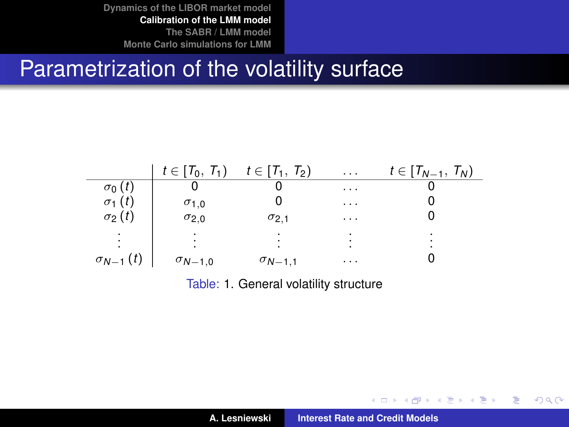#### Parametrization of the volatility surface

|                   | $t \in [T_0, T_1)$ | $t \in [T_1, T_2)$ | $\cdots$                    | $t \in [T_{N-1}, T_N)$ |
|-------------------|--------------------|--------------------|-----------------------------|------------------------|
| $\sigma_0(t)$     |                    |                    | $\cdots$                    |                        |
| $\sigma_1(t)$     | $\sigma_{1,0}$     |                    | $\cdots$                    |                        |
| $\sigma_2(t)$     | $\sigma_{2,0}$     | $\sigma_{2,1}$     | $\cdots$                    |                        |
|                   |                    |                    | $\bullet$<br>$\blacksquare$ |                        |
| $\sigma_{N-1}(t)$ | $\sigma_{N-1,0}$   | $\sigma_{N-1,1}$   | $\cdots$                    |                        |

<span id="page-27-0"></span>Table: [1.](#page-27-0) General volatility structure

**A. Lesniewski [Interest Rate and Credit Models](#page-0-0)**

イロメ イ部メ イヨメ イヨメー

 $299$ 

重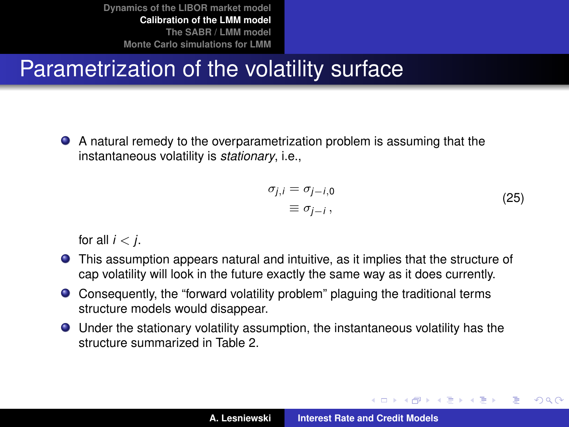# Parametrization of the volatility surface

A natural remedy to the overparametrization problem is assuming that the instantaneous volatility is *stationary*, i.e.,

$$
\sigma_{j,i} = \sigma_{j-i,0} \n\equiv \sigma_{j-i},
$$
\n(25)

イロメ イ部メ イヨメ イヨメー

Þ

 $QQ$ 

for all  $i < j$ .

- This assumption appears natural and intuitive, as it implies that the structure of cap volatility will look in the future exactly the same way as it does currently.
- Consequently, the "forward volatility problem" plaguing the traditional terms structure models would disappear.
- Under the stationary volatility assumption, the instantaneous volatility has the structure summarized in Table [2.](#page-29-0)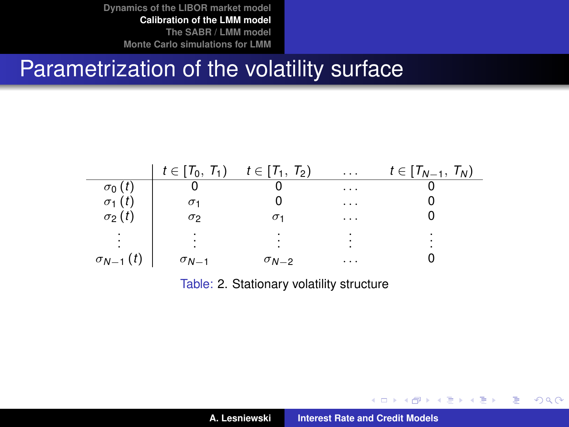#### Parametrization of the volatility surface

|                   | $t \in [T_0, T_1)$ | $t\in[T_1, T_2)$ | $\cdots$ | $t\in[T_{N-1}, T_N)$ |
|-------------------|--------------------|------------------|----------|----------------------|
| $\sigma_0(t)$     |                    |                  | $\cdots$ |                      |
| $\sigma_1(t)$     | σ1                 |                  | $\cdots$ |                      |
| $\sigma_2(t)$     | $\sigma_2$         |                  | $\cdots$ |                      |
|                   |                    |                  |          |                      |
| $\sigma_{N-1}(t)$ | $\sigma_{N-1}$     | $\sigma_{N-2}$   | $\cdots$ |                      |

<span id="page-29-0"></span>Table: [2.](#page-29-0) Stationary volatility structure

**A. Lesniewski [Interest Rate and Credit Models](#page-0-0)**

イロメ イ部メ イヨメ イヨメー

 $299$ 

重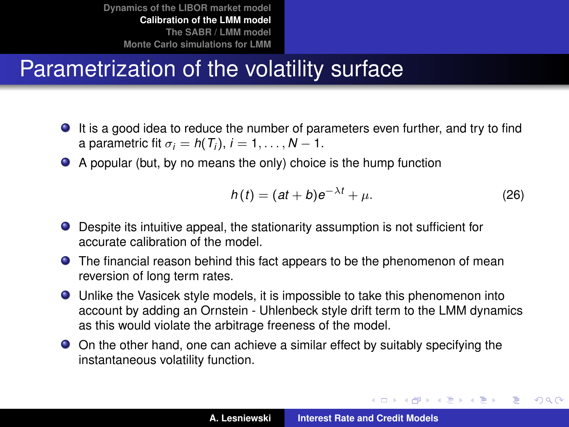# Parametrization of the volatility surface

- It is a good idea to reduce the number of parameters even further, and try to find a parametric fit  $\sigma_i = h(T_i)$ ,  $i = 1, \ldots, N - 1$ .
- A popular (but, by no means the only) choice is the hump function

$$
h(t) = (at + b)e^{-\lambda t} + \mu.
$$
 (26)

イロメ イ部メ イ君メ イ君メー

重い  $299$ 

- Despite its intuitive appeal, the stationarity assumption is not sufficient for accurate calibration of the model.
- **•** The financial reason behind this fact appears to be the phenomenon of mean reversion of long term rates.
- Unlike the Vasicek style models, it is impossible to take this phenomenon into account by adding an Ornstein - Uhlenbeck style drift term to the LMM dynamics as this would violate the arbitrage freeness of the model.
- On the other hand, one can achieve a similar effect by suitably specifying the instantaneous volatility function.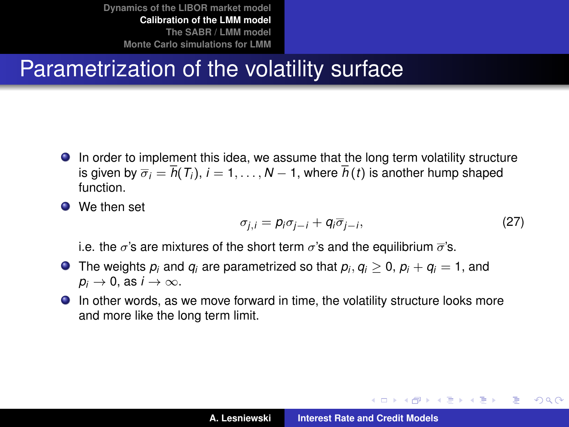# Parametrization of the volatility surface

- In order to implement this idea, we assume that the long term volatility structure is given by  $\overline{\sigma}_i = \overline{h}(T_i)$ ,  $i = 1, ..., N - 1$ , where  $\overline{h}(t)$  is another hump shaped function.
- We then set

$$
\sigma_{j,i} = p_i \sigma_{j-i} + q_i \overline{\sigma}_{j-i},\tag{27}
$$

イロメ イ団メ イヨメ イヨメー

÷.  $2Q$ 

i.e. the  $\sigma$ 's are mixtures of the short term  $\sigma$ 's and the equilibrium  $\bar{\sigma}$ 's.

- The weights  $p_i$  and  $q_i$  are parametrized so that  $p_i, q_i \geq 0$ ,  $p_i + q_i = 1$ , and  $p_i \rightarrow 0$ , as  $i \rightarrow \infty$ .
- In other words, as we move forward in time, the volatility structure looks more and more like the long term limit.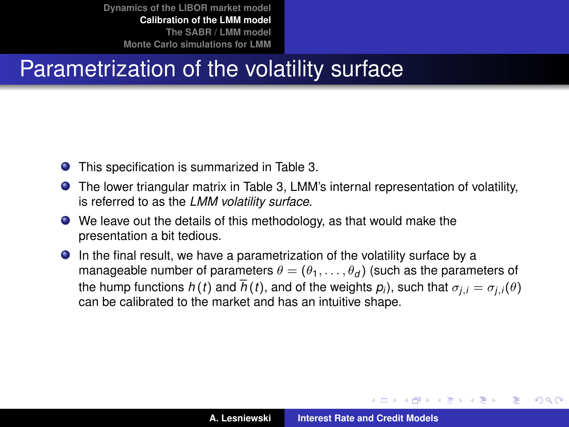# Parametrization of the volatility surface

- This specification is summarized in Table [3.](#page-33-0)
- The lower triangular matrix in Table [3,](#page-33-0) LMM's internal representation of volatility, is referred to as the *LMM volatility surface*.
- We leave out the details of this methodology, as that would make the presentation a bit tedious.
- In the final result, we have a parametrization of the volatility surface by a manageable number of parameters  $\theta = (\theta_1, \dots, \theta_d)$  (such as the parameters of  $t$ he hump functions  $h(t)$  and  $h(t)$ , and of the weights  $\rho_i$ ), such that  $\sigma_{j,i} = \sigma_{j,i}(\theta)$ can be calibrated to the market and has an intuitive shape.

イロメ イ部メ イヨメ イヨメー

Þ

 $QQQ$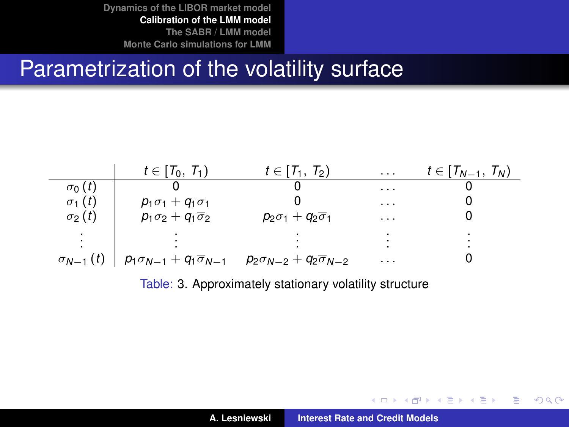#### Parametrization of the volatility surface



<span id="page-33-0"></span>Table: [3.](#page-33-0) Approximately stationary volatility structure

 $299$ 

言い

K ロ ▶ K 御 ▶ K 君 ▶ K 君 ▶ ...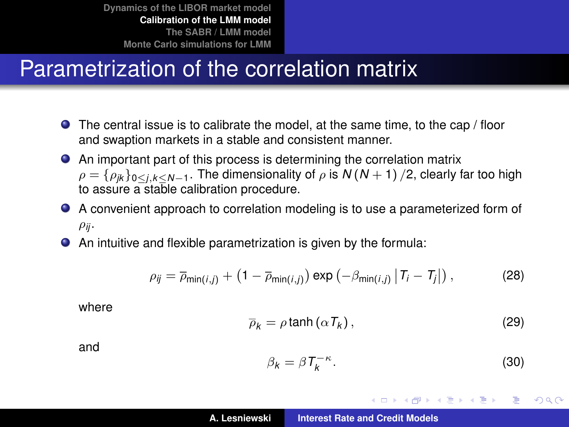## Parametrization of the correlation matrix

- The central issue is to calibrate the model, at the same time, to the cap / floor and swaption markets in a stable and consistent manner.
- An important part of this process is determining the correlation matrix  $\rho = {\rho_{jk}}_{0 \leq j,k \leq N-1}$ . The dimensionality of  $\rho$  is  $N(N+1)/2$ , clearly far too high to assure a stable calibration procedure.
- A convenient approach to correlation modeling is to use a parameterized form of  $\rho_{ji}$ .
- An intuitive and flexible parametrization is given by the formula:

$$
\rho_{ij} = \overline{\rho}_{\min(i,j)} + \left(1 - \overline{\rho}_{\min(i,j)}\right) \exp\left(-\beta_{\min(i,j)} |T_i - T_j|\right),\tag{28}
$$

where

$$
\overline{\rho}_k = \rho \tanh\left(\alpha T_k\right),\tag{29}
$$

and

$$
\beta_k = \beta T_k^{-\kappa}.\tag{30}
$$

イロメ イ部メ イヨメ イヨメー

Þ  $QQQ$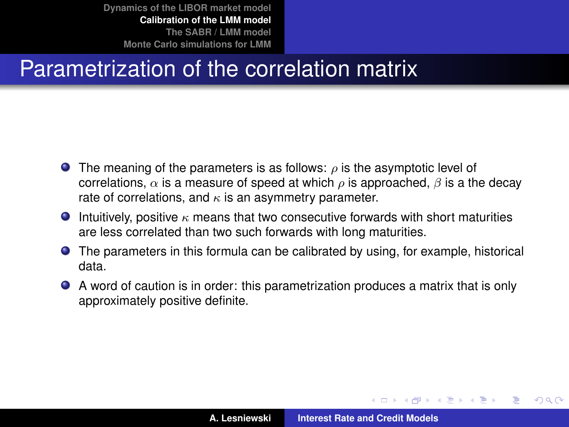# Parametrization of the correlation matrix

- **The meaning of the parameters is as follows:**  $\rho$  is the asymptotic level of correlations,  $\alpha$  is a measure of speed at which  $\rho$  is approached,  $\beta$  is a the decay rate of correlations, and  $\kappa$  is an asymmetry parameter.
- **Intuitively, positive**  $\kappa$  **means that two consecutive forwards with short maturities** are less correlated than two such forwards with long maturities.
- The parameters in this formula can be calibrated by using, for example, historical data.
- A word of caution is in order: this parametrization produces a matrix that is only approximately positive definite.

イロト イ母 トイラ トイラト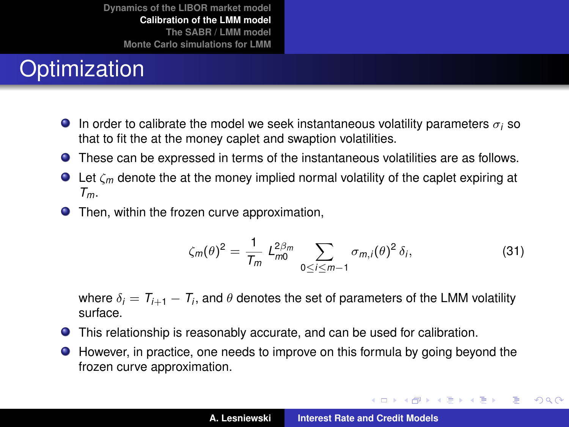# **Optimization**

- **In order to calibrate the model we seek instantaneous volatility parameters**  $\sigma_i$  **so** that to fit the at the money caplet and swaption volatilities.
- These can be expressed in terms of the instantaneous volatilities are as follows.
- $\bullet$  Let  $\zeta_m$  denote the at the money implied normal volatility of the caplet expiring at *Tm*.
- **•** Then, within the frozen curve approximation,

$$
\zeta_m(\theta)^2 = \frac{1}{T_m} \, L_{m0}^{2\beta_m} \sum_{0 \le i \le m-1} \sigma_{m,i}(\theta)^2 \, \delta_i,\tag{31}
$$

イロメ イ団メ イヨメ イヨメー

 $299$ 

重

where  $\delta_i = T_{i+1} - T_i,$  and  $\theta$  denotes the set of parameters of the LMM volatility surface.

- This relationship is reasonably accurate, and can be used for calibration.
- However, in practice, one needs to improve on this formula by going beyond the frozen curve approximation.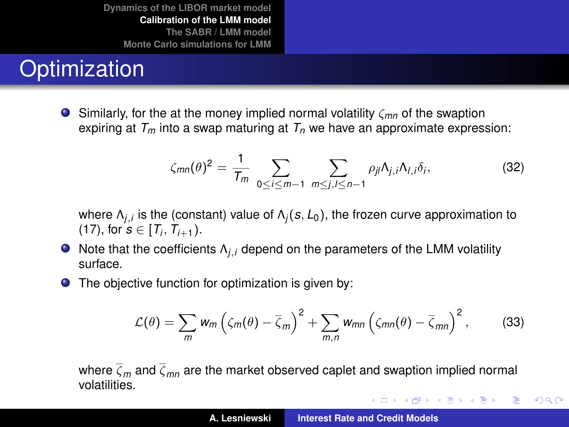# **Optimization**

Similarly, for the at the money implied normal volatility ζ*mn* of the swaption expiring at  $T_m$  into a swap maturing at  $T_n$  we have an approximate expression:

$$
\zeta_{mn}(\theta)^2 = \frac{1}{T_m} \sum_{0 \le i \le m-1} \sum_{m \le j, l \le n-1} \rho_{jl} \Lambda_{j,i} \Lambda_{l,i} \delta_i, \tag{32}
$$

where Λ*j*,*<sup>i</sup>* is the (constant) value of Λ*<sup>j</sup>* (*s*, *L*0), the frozen curve approximation to  $(17)$ , for  $s \in [T_i, T_{i+1})$ .

- Note that the coefficients Λ*j*,*<sup>i</sup>* depend on the parameters of the LMM volatility surface.
- The objective function for optimization is given by:  $\bullet$

$$
\mathcal{L}(\theta) = \sum_{m} w_m \left( \zeta_m(\theta) - \overline{\zeta}_m \right)^2 + \sum_{m,n} w_{mn} \left( \zeta_{mn}(\theta) - \overline{\zeta}_{mn} \right)^2, \tag{33}
$$

where  $\overline{\zeta}_m$  and  $\overline{\zeta}_{mn}$  are the market observed caplet and swaption implied normal volatilities.

K ロ ⊁ K 伊 ⊁ K 君 ⊁ K 君 ⊁ …

重

<span id="page-37-0"></span> $299$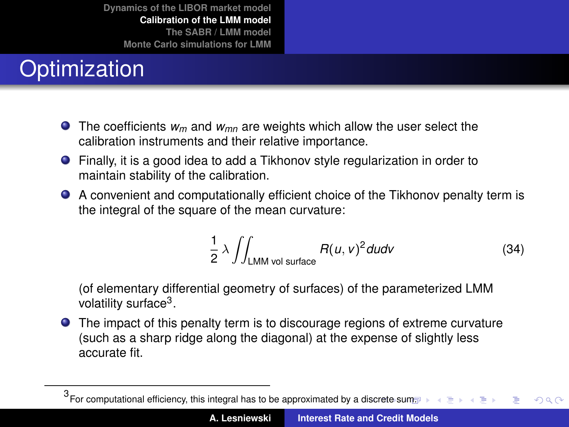# **Optimization**

- The coefficients  $w_m$  and  $w_{mn}$  are weights which allow the user select the calibration instruments and their relative importance.
- Finally, it is a good idea to add a Tikhonov style regularization in order to maintain stability of the calibration.
- A convenient and computationally efficient choice of the Tikhonov penalty term is the integral of the square of the mean curvature:

<span id="page-38-0"></span>
$$
\frac{1}{2}\,\lambda\,\int\!\!\int_{\text{LMM vol surface}}R(u,v)^2dudv\tag{34}
$$

(of elementary differential geometry of surfaces) of the parameterized LMM volatility surface<sup>3</sup>.

The impact of this penalty term is to discourage regions of extreme curvature (such as a sharp ridge along the diagonal) at the expense of slightly less accurate fit.

<sup>3&</sup>lt;br>For computational efficiency, this integral has to be approximated by a d[iscr](#page-37-0)et[e s](#page-39-0)[u](#page-37-0)[m.](#page-38-0)  $QQ$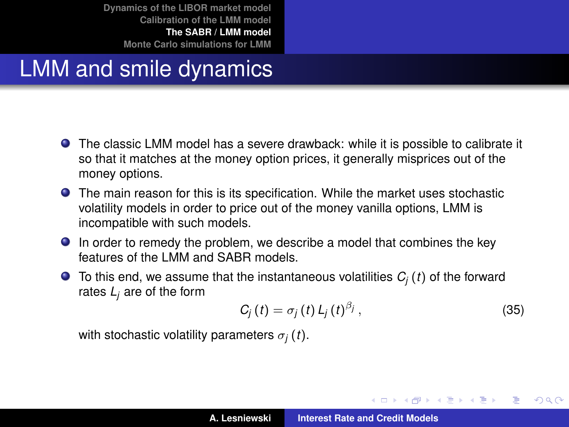## LMM and smile dynamics

- The classic LMM model has a severe drawback: while it is possible to calibrate it so that it matches at the money option prices, it generally misprices out of the money options.
- The main reason for this is its specification. While the market uses stochastic volatility models in order to price out of the money vanilla options, LMM is incompatible with such models.
- **In order to remedy the problem, we describe a model that combines the key** features of the LMM and SABR models.
- $\bullet$  To this end, we assume that the instantaneous volatilities  $C_i(t)$  of the forward rates *L<sup>j</sup>* are of the form

$$
C_j(t) = \sigma_j(t) L_j(t)^{\beta_j}, \qquad (35)
$$

<span id="page-39-1"></span>イロメ イ部メ イヨメ イヨメー

重

<span id="page-39-0"></span> $298$ 

with stochastic volatility parameters  $\sigma_i(t)$ .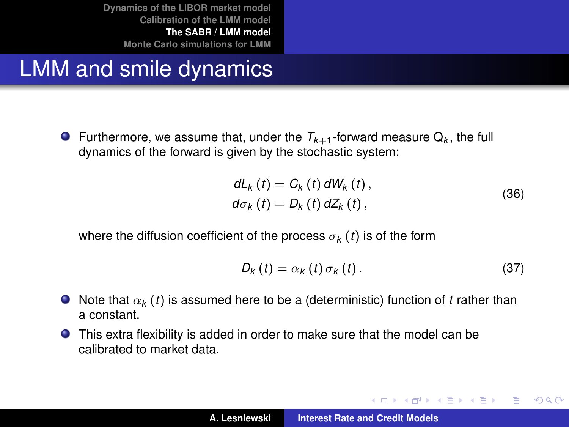LMM and smile dynamics

Furthermore, we assume that, under the  $T_{k+1}$ -forward measure  $Q_k$ , the full dynamics of the forward is given by the stochastic system:

$$
dL_k(t) = C_k(t) dW_k(t),
$$
  
\n
$$
d\sigma_k(t) = D_k(t) dZ_k(t),
$$
\n(36)

where the diffusion coefficient of the process  $\sigma_k(t)$  is of the form

<span id="page-40-0"></span>
$$
D_{k}\left(t\right)=\alpha_{k}\left(t\right)\sigma_{k}\left(t\right).\tag{37}
$$

イロメ イ部メ イヨメ イヨメー

重

 $298$ 

- $\bullet$  Note that  $\alpha_k$  (*t*) is assumed here to be a (deterministic) function of *t* rather than a constant.
- This extra flexibility is added in order to make sure that the model can be calibrated to market data.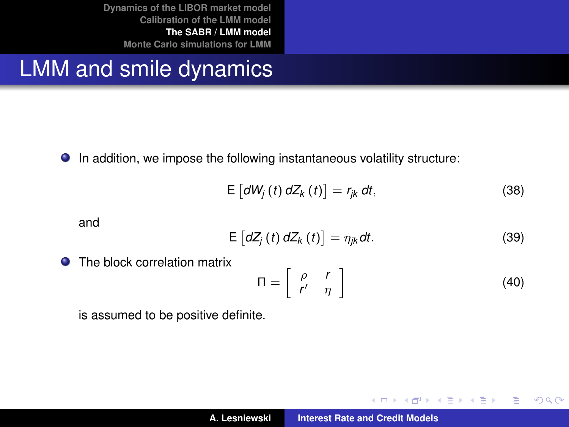#### LMM and smile dynamics

● In addition, we impose the following instantaneous volatility structure:

$$
E\left[dW_{j}\left(t\right)dZ_{k}\left(t\right)\right]=r_{jk}\,dt,\tag{38}
$$

and

$$
E\left[dZ_{j}\left(t\right)dZ_{k}\left(t\right)\right]=\eta_{jk}dt.\tag{39}
$$

The block correlation matrix

$$
\Pi = \left[ \begin{array}{cc} \rho & r \\ r' & \eta \end{array} \right] \tag{40}
$$

イロメ イ部メ イ君メ イ君メー

 $299$ 

重

is assumed to be positive definite.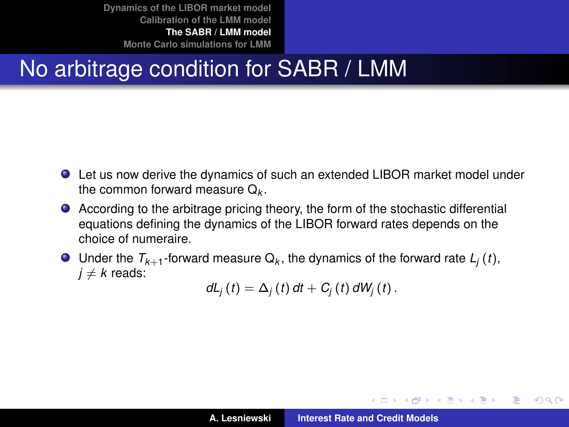# No arbitrage condition for SABR / LMM

- Let us now derive the dynamics of such an extended LIBOR market model under the common forward measure  $\mathsf{Q}_k$ .
- According to the arbitrage pricing theory, the form of the stochastic differential equations defining the dynamics of the LIBOR forward rates depends on the choice of numeraire.
- Under the  $T_{k+1}$ -forward measure  $\mathsf{Q}_k$ , the dynamics of the forward rate  $L_j\left(t\right)$ ,  $j \neq k$  reads:

$$
dL_j(t) = \Delta_j(t) dt + C_j(t) dW_j(t).
$$

イロメ イ団メ イヨメ イヨメー

重  $2Q$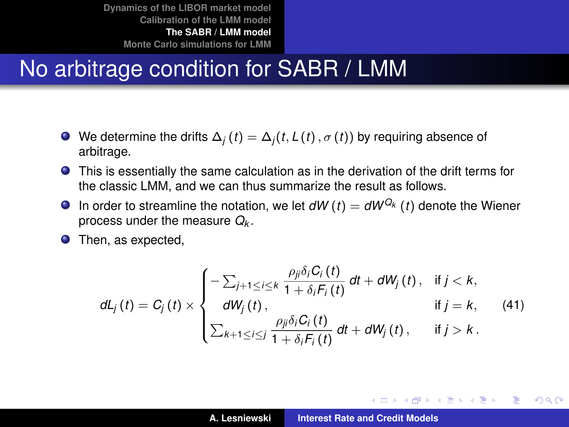### No arbitrage condition for SABR / LMM

- $\bullet$  We determine the drifts  $\Delta_i(t) = \Delta_i(t, L(t), \sigma(t))$  by requiring absence of arbitrage.
- This is essentially the same calculation as in the derivation of the drift terms for the classic LMM, and we can thus summarize the result as follows.
- **In** order to streamline the notation, we let  $dW(t) = dW^{Q_k}(t)$  denote the Wiener process under the measure *Q<sup>k</sup>* .
- **O** Then, as expected,

$$
dL_j(t) = C_j(t) \times \begin{cases} -\sum_{j+1 \leq i \leq k} \frac{\rho_{ji} \delta_i C_i(t)}{1 + \delta_i F_i(t)} dt + dW_j(t), & \text{if } j < k, \\ dW_j(t), & \text{if } j = k, \\ \sum_{k+1 \leq i \leq j} \frac{\rho_{ji} \delta_i C_i(t)}{1 + \delta_i F_i(t)} dt + dW_j(t), & \text{if } j > k. \end{cases}
$$
(41)

**◆ロト ◆個 ▶ ◆ 夏 ▶ ◆ 夏 ▶** 

(重)  $298$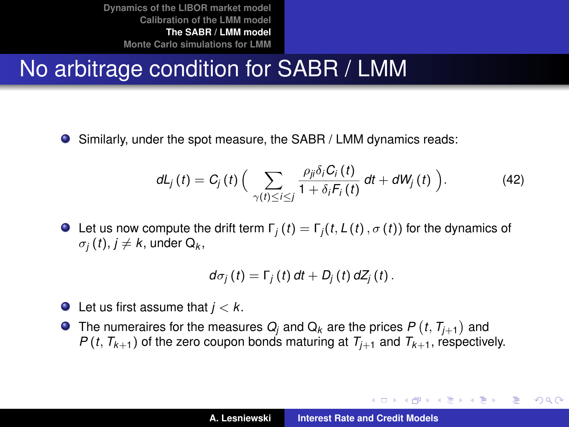# No arbitrage condition for SABR / LMM

Similarly, under the spot measure, the SABR / LMM dynamics reads:  $\bullet$ 

$$
dL_j(t) = C_j(t) \left( \sum_{\gamma(t) \leq i \leq j} \frac{\rho_{ji} \delta_i C_i(t)}{1 + \delta_i F_i(t)} dt + dW_j(t) \right). \tag{42}
$$

**O** Let us now compute the drift term  $\Gamma_i(t) = \Gamma_i(t, L(t), \sigma(t))$  for the dynamics of  $\sigma_j\left(t\right)$ ,  $j\neq k$ , under Q<sub>k</sub>,

$$
d\sigma_j(t)=\Gamma_j(t) dt+D_j(t) dZ_j(t).
$$

- $\bullet$  Let us first assume that  $j < k$ .
- The numeraires for the measures  $Q_j$  and  $\mathrm{Q}_k$  are the prices  $P\left(t,\, T_{j+1}\right)$  and *P* (*t*,  $T_{k+1}$ ) of the zero coupon bonds maturing at  $T_{i+1}$  and  $T_{k+1}$ , respectively.

K ロ ⊁ K 伊 ⊁ K 君 ⊁ K 君 ⊁ …

 $299$ 

造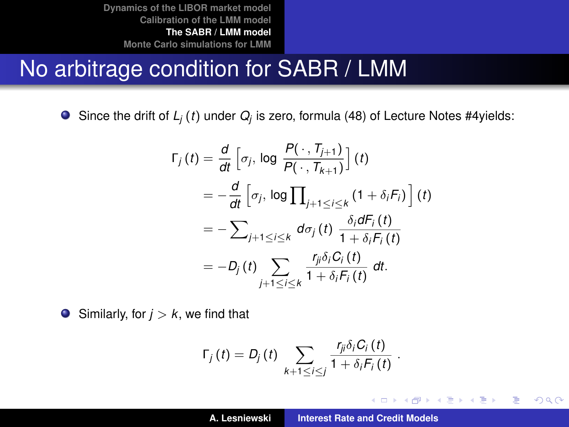#### No arbitrage condition for SABR / LMM

Since the drift of *L<sup>j</sup>* (*t*) under *Q<sup>j</sup>* is zero, formula (48) of Lecture Notes #4yields:

$$
\Gamma_j(t) = \frac{d}{dt} \left[ \sigma_j, \log \frac{P(\cdot, T_{j+1})}{P(\cdot, T_{k+1})} \right] (t)
$$
  
\n
$$
= -\frac{d}{dt} \left[ \sigma_j, \log \prod_{j+1 \leq i \leq k} (1 + \delta_i F_i) \right] (t)
$$
  
\n
$$
= -\sum_{j+1 \leq i \leq k} d\sigma_j(t) \frac{\delta_i dF_i(t)}{1 + \delta_i F_i(t)}
$$
  
\n
$$
= -D_j(t) \sum_{j+1 \leq i \leq k} \frac{r_{ij} \delta_i C_i(t)}{1 + \delta_i F_i(t)} dt.
$$

 $\bullet$  Similarly, for  $j > k$ , we find that

$$
\Gamma_j(t) = D_j(t) \sum_{k+1 \leq i \leq j} \frac{r_{ji} \delta_i C_i(t)}{1 + \delta_i F_i(t)}
$$

.

K ロ ⊁ K 伊 ⊁ K 君 ⊁ K 君 ⊁ …

■ 1  $299$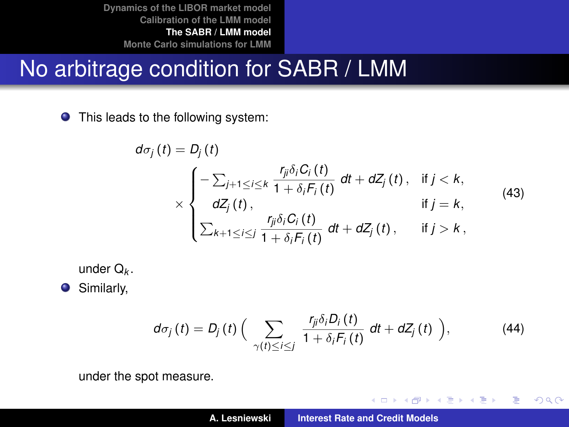#### No arbitrage condition for SABR / LMM

**O** This leads to the following system:

$$
d\sigma_j(t) = D_j(t)
$$
  
\n
$$
\times \begin{cases}\n-\sum_{j+1 \leq i \leq k} \frac{r_{ji}\delta_i C_i(t)}{1 + \delta_i F_i(t)} dt + dZ_j(t), & \text{if } j < k, \\
dZ_j(t), & \text{if } j = k,\n\end{cases}
$$
\n
$$
\times \begin{cases}\n\frac{r_{ji}\delta_i C_i(t)}{1 + \delta_i F_i(t)} dt + dZ_j(t), & \text{if } j > k,\n\end{cases}
$$
\n
$$
(43)
$$

under Q*<sup>k</sup>* .

**O** Similarly,

$$
d\sigma_j(t) = D_j(t) \left( \sum_{\gamma(t) \leq i \leq j} \frac{r_{ji} \delta_i D_i(t)}{1 + \delta_i F_i(t)} dt + dZ_j(t) \right), \qquad (44)
$$

イロメ イ団メ イヨメ イヨメー

重

 $299$ 

under the spot measure.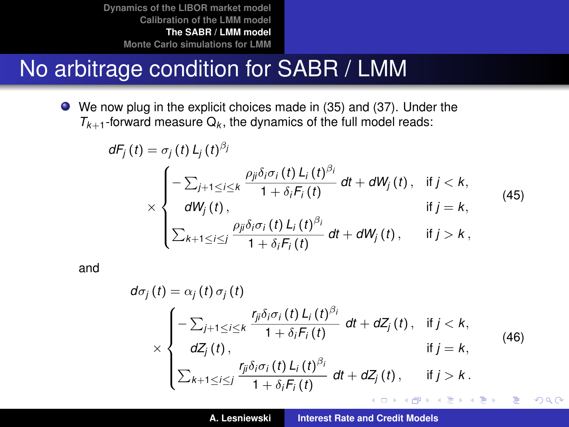### No arbitrage condition for SABR / LMM

We now plug in the explicit choices made in [\(35\)](#page-39-1) and [\(37\)](#page-40-0). Under the  $T_{k+1}$ -forward measure  $Q_k$ , the dynamics of the full model reads:

$$
dF_j(t) = \sigma_j(t) L_j(t)^{\beta_j}
$$
  
\n
$$
\times \begin{cases}\n-\sum_{j+1 \leq i \leq k} \frac{\rho_{ji} \delta_i \sigma_i(t) L_i(t)^{\beta_i}}{1 + \delta_i F_i(t)} dt + dW_j(t), & \text{if } j < k, \\
dW_j(t), & \text{if } j = k,\n\end{cases}
$$
\n
$$
\times \begin{cases}\n-\sum_{k+1 \leq i \leq j} \frac{\rho_{ji} \delta_i \sigma_i(t) L_i(t)^{\beta_i}}{1 + \delta_i F_i(t)} dt + dW_j(t), & \text{if } j > k,\n\end{cases}
$$
\n
$$
(45)
$$

and

$$
d\sigma_j(t) = \alpha_j(t)\,\sigma_j(t)
$$
\n
$$
\times \begin{cases}\n-\sum_{j+1 \leq i \leq k} \frac{r_{ji}\delta_i\sigma_i(t)\,L_i(t)^{\beta_i}}{1+\delta_iF_i(t)} \,dt + dZ_j(t), & \text{if } j < k, \\
dZ_j(t), & \text{if } j = k, \\
\sum_{k+1 \leq i \leq j} \frac{r_{ji}\delta_i\sigma_i(t)\,L_i(t)^{\beta_i}}{1+\delta_iF_i(t)} \,dt + dZ_j(t), & \text{if } j > k.\n\end{cases}
$$
\n
$$
(46)
$$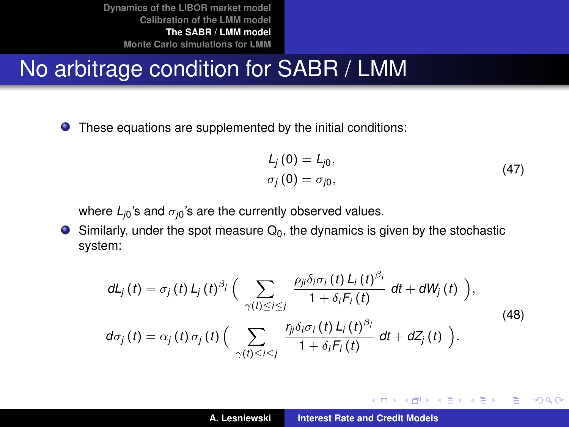### No arbitrage condition for SABR / LMM

These equations are supplemented by the initial conditions:

$$
L_j(0) = L_{j0},
$$
  
\n
$$
\sigma_j(0) = \sigma_{j0},
$$
\n(47)

イロメ イ団メ イヨメ イヨメー

 $299$ 

重

where  $L_{i0}$ 's and  $\sigma_{i0}$ 's are the currently observed values.

 $\bullet$  Similarly, under the spot measure  $Q_0$ , the dynamics is given by the stochastic system:

$$
dL_j(t) = \sigma_j(t) L_j(t)^{\beta_j} \Big( \sum_{\gamma(t) \le i \le j} \frac{\rho_{ji} \delta_i \sigma_i(t) L_i(t)^{\beta_i}}{1 + \delta_i F_i(t)} dt + dW_j(t) \Big),
$$
  
\n
$$
d\sigma_j(t) = \alpha_j(t) \sigma_j(t) \Big( \sum_{\gamma(t) \le i \le j} \frac{r_{ji} \delta_i \sigma_i(t) L_i(t)^{\beta_i}}{1 + \delta_i F_i(t)} dt + dZ_j(t) \Big).
$$
\n(48)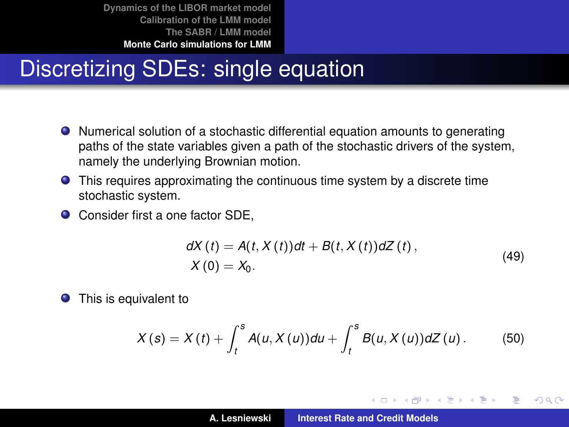# Discretizing SDEs: single equation

- Numerical solution of a stochastic differential equation amounts to generating paths of the state variables given a path of the stochastic drivers of the system, namely the underlying Brownian motion.
- This requires approximating the continuous time system by a discrete time stochastic system.
- Consider first a one factor SDE,

$$
dX(t) = A(t, X(t))dt + B(t, X(t))dZ(t),
$$
  
 
$$
X(0) = X_0.
$$
 (49)

イロメ イ部メ イ君メ イ君メー

Þ

<span id="page-49-0"></span> $298$ 

<span id="page-49-1"></span>**•** This is equivalent to

$$
X(s) = X(t) + \int_t^s A(u, X(u))du + \int_t^s B(u, X(u))dZ(u).
$$
 (50)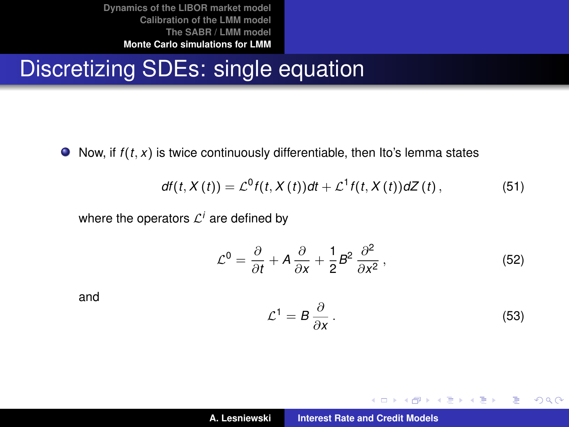## Discretizing SDEs: single equation

 $\bullet$  Now, if  $f(t, x)$  is twice continuously differentiable, then Ito's lemma states

<span id="page-50-0"></span>
$$
df(t, X(t)) = \mathcal{L}^{0}f(t, X(t))dt + \mathcal{L}^{1}f(t, X(t))dZ(t), \qquad (51)
$$

where the operators  $\mathcal{L}^i$  are defined by

$$
\mathcal{L}^0 = \frac{\partial}{\partial t} + A \frac{\partial}{\partial x} + \frac{1}{2} B^2 \frac{\partial^2}{\partial x^2},
$$
 (52)

and

$$
\mathcal{L}^1 = B \frac{\partial}{\partial x} \,. \tag{53}
$$

イロメ イ部メ イヨメ イヨメー

 $2990$ 重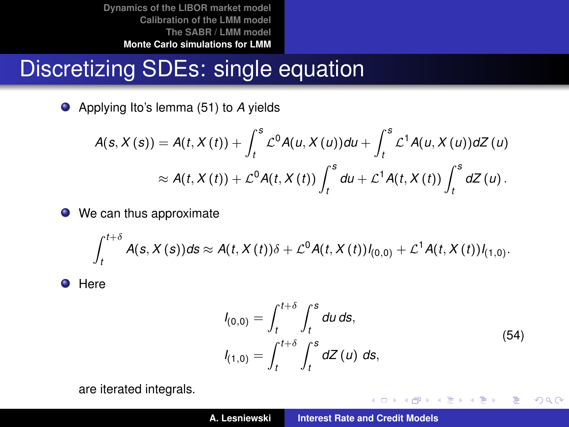# Discretizing SDEs: single equation

Applying Ito's lemma [\(51\)](#page-50-0) to *A* yields

$$
A(s, X(s)) = A(t, X(t)) + \int_t^s \mathcal{L}^0 A(u, X(u)) du + \int_t^s \mathcal{L}^1 A(u, X(u)) dZ(u)
$$
  

$$
\approx A(t, X(t)) + \mathcal{L}^0 A(t, X(t)) \int_t^s du + \mathcal{L}^1 A(t, X(t)) \int_t^s dZ(u).
$$

● We can thus approximate

$$
\int_{t}^{t+\delta} A(s,X(s))ds \approx A(t,X(t))\delta + \mathcal{L}^{0}A(t,X(t))I_{(0,0)} + \mathcal{L}^{1}A(t,X(t))I_{(1,0)}.
$$

**O** Here

$$
I_{(0,0)} = \int_{t}^{t+\delta} \int_{t}^{s} du \, ds,
$$
  
\n
$$
I_{(1,0)} = \int_{t}^{t+\delta} \int_{t}^{s} dZ(u) \, ds,
$$
\n(54)

イロメ イ部メ イヨメ イヨメー

 $299$ 

重

are iterated integrals.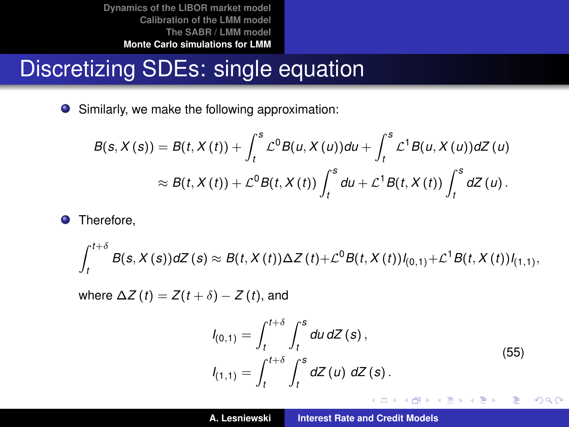## Discretizing SDEs: single equation

Similarly, we make the following approximation:

$$
B(s, X(s)) = B(t, X(t)) + \int_t^s \mathcal{L}^0 B(u, X(u)) du + \int_t^s \mathcal{L}^1 B(u, X(u)) dZ(u)
$$
  

$$
\approx B(t, X(t)) + \mathcal{L}^0 B(t, X(t)) \int_t^s du + \mathcal{L}^1 B(t, X(t)) \int_t^s dZ(u).
$$

**O** Therefore,

$$
\int_{t}^{t+\delta} B(s, X(s)) dZ(s) \approx B(t, X(t)) \Delta Z(t) + \mathcal{L}^{0} B(t, X(t)) I_{(0,1)} + \mathcal{L}^{1} B(t, X(t)) I_{(1,1)},
$$

where  $\Delta Z(t) = Z(t + \delta) - Z(t)$ , and

$$
I_{(0,1)} = \int_{t}^{t+\delta} \int_{t}^{s} du \, dZ(s),
$$
  
\n
$$
I_{(1,1)} = \int_{t}^{t+\delta} \int_{t}^{s} dZ(u) \, dZ(s).
$$
\n(55)

K ロ ⊁ K 伊 ⊁ K 君 ⊁ K 君 ⊁ …

 $299$ 唐山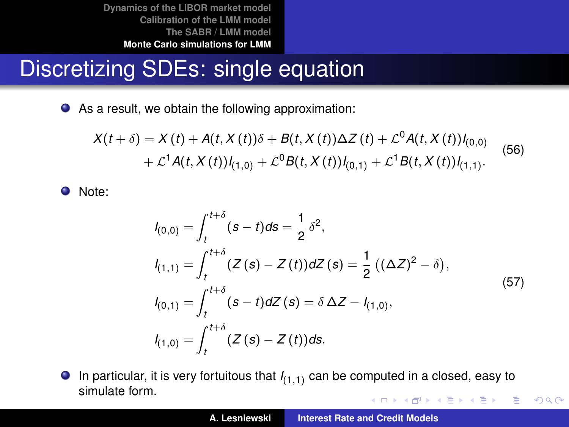## Discretizing SDEs: single equation

As a result, we obtain the following approximation:

<span id="page-53-0"></span>
$$
X(t + \delta) = X(t) + A(t, X(t))\delta + B(t, X(t))\Delta Z(t) + \mathcal{L}^{0}A(t, X(t))I_{(0,0)} + \mathcal{L}^{1}A(t, X(t))I_{(1,0)} + \mathcal{L}^{0}B(t, X(t))I_{(0,1)} + \mathcal{L}^{1}B(t, X(t))I_{(1,1)}.
$$
 (56)

Note:

$$
l_{(0,0)} = \int_{t}^{t+\delta} (s-t)ds = \frac{1}{2} \delta^{2},
$$
  
\n
$$
l_{(1,1)} = \int_{t}^{t+\delta} (Z(s) - Z(t))dZ(s) = \frac{1}{2} ((\Delta Z)^{2} - \delta),
$$
  
\n
$$
l_{(0,1)} = \int_{t}^{t+\delta} (s-t)dZ(s) = \delta \Delta Z - l_{(1,0)},
$$
  
\n
$$
l_{(1,0)} = \int_{t}^{t+\delta} (Z(s) - Z(t))ds.
$$
\n(57)

 $\bullet$  In particular, it is very fortuitous that  $I_{(1,1)}$  can be computed in a closed, easy to simulate form. イロメ イ団メ イヨメ イヨメー 重

 $299$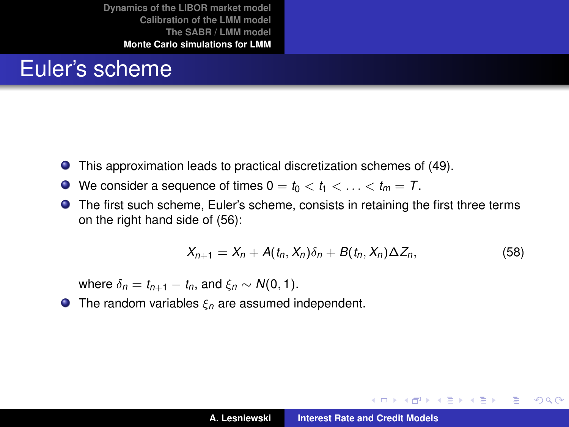#### Euler's scheme

- This approximation leads to practical discretization schemes of [\(49\)](#page-49-1).
- $\bullet$  We consider a sequence of times  $0 = t_0 < t_1 < \ldots < t_m = T$ .
- The first such scheme, Euler's scheme, consists in retaining the first three terms on the right hand side of [\(56\)](#page-53-0):

$$
X_{n+1}=X_n+A(t_n,X_n)\delta_n+B(t_n,X_n)\Delta Z_n,
$$
\n(58)

イロメ イ部メ イヨメ イヨメー

÷.

 $298$ 

where  $\delta_n = t_{n+1} - t_n$ , and  $\xi_n \sim N(0, 1)$ .

**The random variables**  $\xi_n$  **are assumed independent.**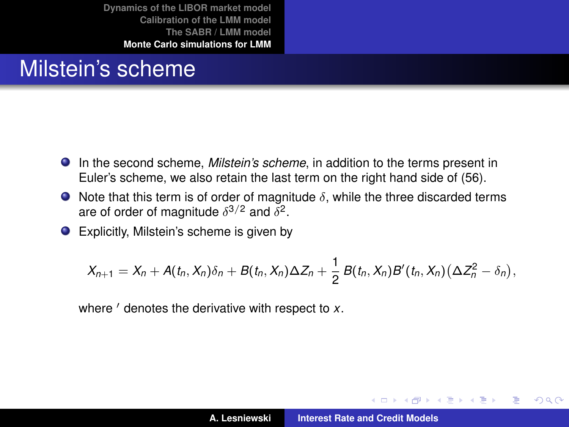#### Milstein's scheme

- In the second scheme, *Milstein's scheme*, in addition to the terms present in Euler's scheme, we also retain the last term on the right hand side of [\(56\)](#page-53-0).
- $\bullet$  Note that this term is of order of magnitude  $\delta$ , while the three discarded terms are of order of magnitude  $\delta^{3/2}$  and  $\delta^2$ .
- Explicitly, Milstein's scheme is given by

$$
X_{n+1}=X_n+A(t_n,X_n)\delta_n+B(t_n,X_n)\Delta Z_n+\frac{1}{2}B(t_n,X_n)B'(t_n,X_n)(\Delta Z_n^2-\delta_n),
$$

where ' denotes the derivative with respect to *x*.

(ロトス個) (運) (運)

Þ

 $298$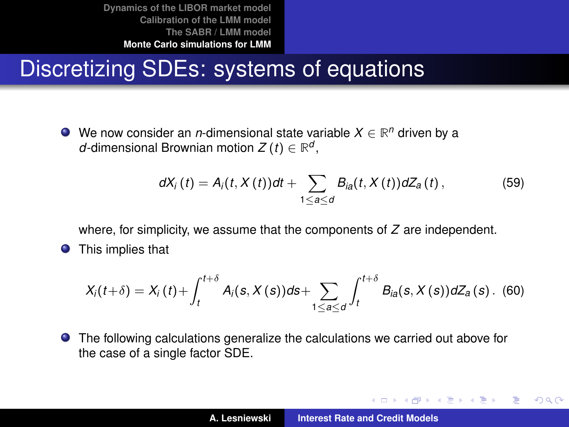## Discretizing SDEs: systems of equations

We now consider an *n*-dimensional state variable *X* ∈ **R** *<sup>n</sup>* driven by a *d*-dimensional Brownian motion  $Z(t) \in \mathbb{R}^d$ ,

$$
dX_i(t) = A_i(t, X(t))dt + \sum_{1 \leq a \leq d} B_{ia}(t, X(t))dZ_a(t), \qquad (59)
$$

where, for simplicity, we assume that the components of *Z* are independent.

 $\bullet$ This implies that

$$
X_i(t+\delta) = X_i(t) + \int_{t}^{t+\delta} A_i(s, X(s))ds + \sum_{1 \leq a \leq d} \int_{t}^{t+\delta} B_{ia}(s, X(s))dZ_a(s).
$$
 (60)

The following calculations generalize the calculations we carried out above for the case of a single factor SDE.

イロメ イ部メ イヨメ イヨメー

Þ  $2Q$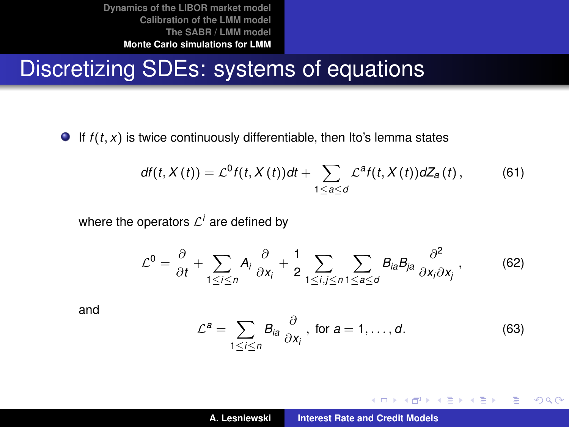#### Discretizing SDEs: systems of equations

If  $f(t, x)$  is twice continuously differentiable, then Ito's lemma states

<span id="page-57-0"></span>
$$
df(t, X(t)) = \mathcal{L}^{0} f(t, X(t)) dt + \sum_{1 \leq a \leq d} \mathcal{L}^{a} f(t, X(t)) dZ_{a}(t), \qquad (61)
$$

where the operators  $\mathcal{L}^i$  are defined by

$$
\mathcal{L}^0 = \frac{\partial}{\partial t} + \sum_{1 \leq i \leq n} A_i \frac{\partial}{\partial x_i} + \frac{1}{2} \sum_{1 \leq i, j \leq n} \sum_{1 \leq a \leq d} B_{ia} B_{ja} \frac{\partial^2}{\partial x_i \partial x_j}, \tag{62}
$$

and

$$
\mathcal{L}^a = \sum_{1 \leq i \leq n} B_{ia} \frac{\partial}{\partial x_i}, \text{ for } a = 1, \dots, d. \tag{63}
$$

イロメ イ団メ イヨメ イヨメー

 $2Q$ 

重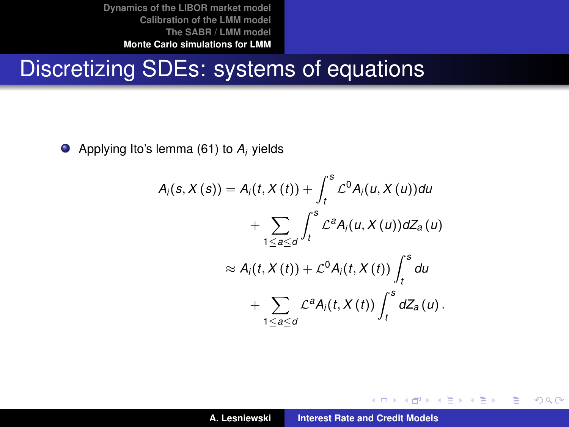#### Discretizing SDEs: systems of equations

Applying Ito's lemma [\(61\)](#page-57-0) to *A<sup>i</sup>* yields

$$
A_i(s, X(s)) = A_i(t, X(t)) + \int_t^s \mathcal{L}^0 A_i(u, X(u)) du
$$
  
+ 
$$
\sum_{1 \leq a \leq d} \int_t^s \mathcal{L}^a A_i(u, X(u)) dZ_a(u)
$$
  

$$
\approx A_i(t, X(t)) + \mathcal{L}^0 A_i(t, X(t)) \int_t^s du
$$
  
+ 
$$
\sum_{1 \leq a \leq d} \mathcal{L}^a A_i(t, X(t)) \int_t^s dZ_a(u).
$$

イロメ イ団メ イヨメ イヨメー

重

 $2Q$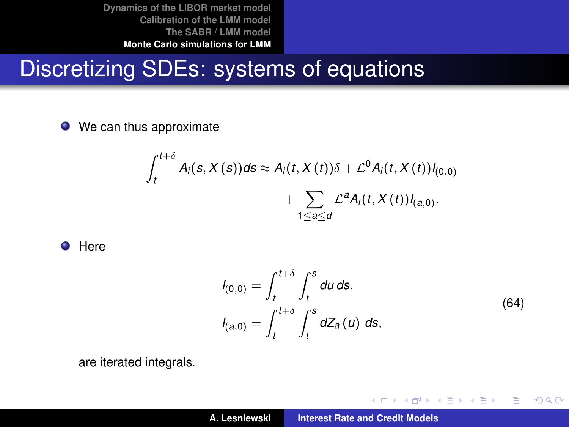## Discretizing SDEs: systems of equations

• We can thus approximate

$$
\int_{t}^{t+\delta} A_{i}(s, X(s))ds \approx A_{i}(t, X(t))\delta + \mathcal{L}^{0}A_{i}(t, X(t))I_{(0,0)}
$$

$$
+ \sum_{1 \leq a \leq d} \mathcal{L}^{a}A_{i}(t, X(t))I_{(a,0)}.
$$

**O** Here

$$
I_{(0,0)} = \int_{t}^{t+\delta} \int_{t}^{s} du \, ds,
$$
  
\n
$$
I_{(a,0)} = \int_{t}^{t+\delta} \int_{t}^{s} dZ_{a}(u) \, ds,
$$
\n(64)

イロメ イ部メ イヨメ イヨメー

 $2Q$ 

重

are iterated integrals.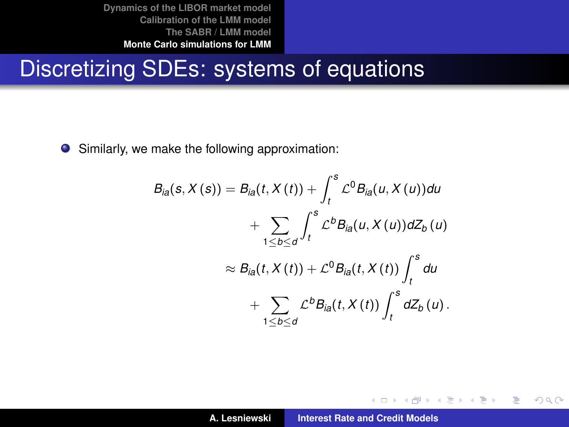#### Discretizing SDEs: systems of equations

Similarly, we make the following approximation:

$$
B_{ia}(s, X(s)) = B_{ia}(t, X(t)) + \int_t^s \mathcal{L}^0 B_{ia}(u, X(u)) du
$$
  
+ 
$$
\sum_{1 \leq b \leq d} \int_t^s \mathcal{L}^b B_{ia}(u, X(u)) dZ_b(u)
$$
  

$$
\approx B_{ia}(t, X(t)) + \mathcal{L}^0 B_{ia}(t, X(t)) \int_t^s du
$$
  
+ 
$$
\sum_{1 \leq b \leq d} \mathcal{L}^b B_{ia}(t, X(t)) \int_t^s dZ_b(u).
$$

イロメ イ部メ イヨメ イヨメー

 $2Q$ 

重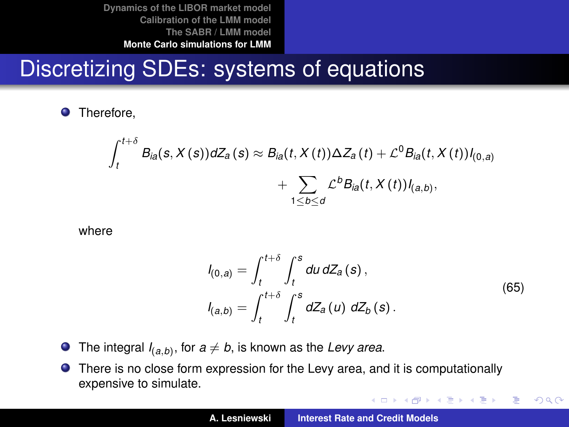# Discretizing SDEs: systems of equations

**O** Therefore,

$$
\int_{t}^{t+\delta} B_{ia}(s,X(s))dZ_{a}(s) \approx B_{ia}(t,X(t))\Delta Z_{a}(t) + \mathcal{L}^{0}B_{ia}(t,X(t))I_{(0,a)} + \sum_{1 \leq b \leq d} \mathcal{L}^{b}B_{ia}(t,X(t))I_{(a,b)},
$$

where

$$
I_{(0,a)} = \int_{t}^{t+\delta} \int_{t}^{s} du \, dZ_{a}(s),
$$
  
\n
$$
I_{(a,b)} = \int_{t}^{t+\delta} \int_{t}^{s} dZ_{a}(u) \, dZ_{b}(s).
$$
\n(65)

イロメ イ団 メイ君 メイ君 メー

 $2Q$ 

重

- The integral  $I_{(a,b)}$ , for  $a \neq b$ , is known as the *Levy area*.
- There is no close form expression for the Levy area, and it is computationally expensive to simulate.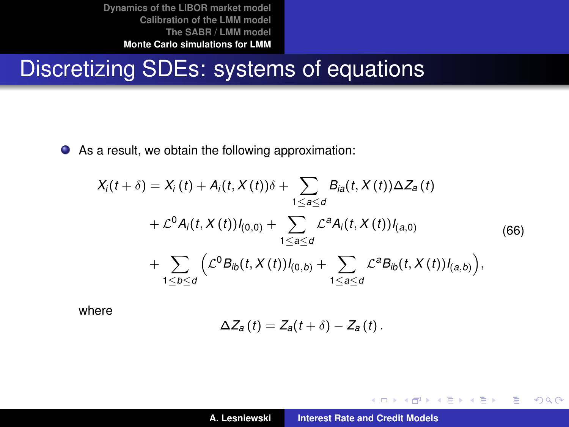# Discretizing SDEs: systems of equations

As a result, we obtain the following approximation:

<span id="page-62-0"></span>
$$
X_i(t + \delta) = X_i(t) + A_i(t, X(t))\delta + \sum_{1 \leq a \leq d} B_{ia}(t, X(t))\Delta Z_a(t)
$$
  
+  $\mathcal{L}^0 A_i(t, X(t))I_{(0,0)} + \sum_{1 \leq a \leq d} \mathcal{L}^a A_i(t, X(t))I_{(a,0)}$   
+  $\sum_{1 \leq b \leq d} (\mathcal{L}^0 B_{ib}(t, X(t))I_{(0,b)} + \sum_{1 \leq a \leq d} \mathcal{L}^a B_{ib}(t, X(t))I_{(a,b)}),$  (66)

where

$$
\Delta Z_a(t) = Z_a(t+\delta) - Z_a(t).
$$

イロメ イ団メ イヨメ イヨメー

重

 $2Q$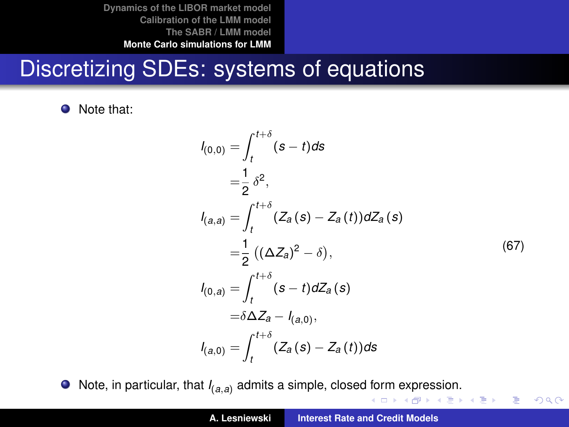## Discretizing SDEs: systems of equations

• Note that:

$$
l_{(0,0)} = \int_{t}^{t+\delta} (s-t)ds
$$
  
\n
$$
= \frac{1}{2} \delta^{2},
$$
  
\n
$$
l_{(a,a)} = \int_{t}^{t+\delta} (Z_{a}(s) - Z_{a}(t))dZ_{a}(s)
$$
  
\n
$$
= \frac{1}{2} ((\Delta Z_{a})^{2} - \delta),
$$
  
\n
$$
l_{(0,a)} = \int_{t}^{t+\delta} (s-t) dZ_{a}(s)
$$
  
\n
$$
= \delta \Delta Z_{a} - l_{(a,0)},
$$
  
\n
$$
l_{(a,0)} = \int_{t}^{t+\delta} (Z_{a}(s) - Z_{a}(t))ds
$$
 (67)

 $\equiv$  990

**O** Note, in particular, that  $I_{(a,a)}$  admits a simple, closed form expression.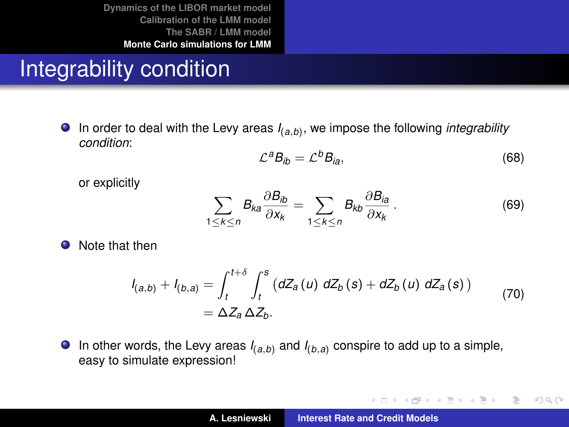## Integrability condition

In order to deal with the Levy areas *I*(*a*,*b*) , we impose the following *integrability condition*:

$$
\mathcal{L}^a B_{ib} = \mathcal{L}^b B_{ia},\tag{68}
$$

K ロ ⊁ K 伊 ⊁ K 君 ⊁ K 君 ⊁ …

 $2Q$ 重。

or explicitly

$$
\sum_{1 \le k \le n} B_{ka} \frac{\partial B_{ib}}{\partial x_k} = \sum_{1 \le k \le n} B_{kb} \frac{\partial B_{ia}}{\partial x_k} \,. \tag{69}
$$

**O** Note that then

$$
I_{(a,b)} + I_{(b,a)} = \int_{t}^{t+\delta} \int_{t}^{s} (dZ_{a}(u) dZ_{b}(s) + dZ_{b}(u) dZ_{a}(s))
$$
  
=  $\Delta Z_{a} \Delta Z_{b}$ . (70)

**In other words, the Levy areas**  $I_{(a,b)}$  **and**  $I_{(b,a)}$  **conspire to add up to a simple,** easy to simulate expression!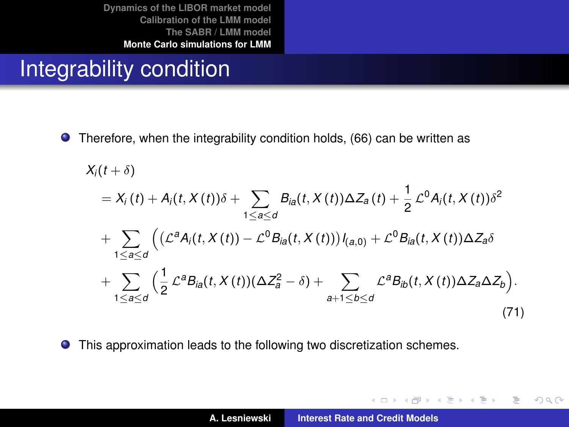## Integrability condition

● Therefore, when the integrability condition holds, [\(66\)](#page-62-0) can be written as

<span id="page-65-0"></span>
$$
X_i(t + \delta)
$$
  
=  $X_i(t) + A_i(t, X(t))\delta + \sum_{1 \le a \le d} B_{ia}(t, X(t))\Delta Z_a(t) + \frac{1}{2} \mathcal{L}^0 A_i(t, X(t))\delta^2$   
+  $\sum_{1 \le a \le d} \left( (\mathcal{L}^a A_i(t, X(t)) - \mathcal{L}^0 B_{ia}(t, X(t))) I_{(a,0)} + \mathcal{L}^0 B_{ia}(t, X(t)) \Delta Z_a \delta$   
+  $\sum_{1 \le a \le d} \left( \frac{1}{2} \mathcal{L}^a B_{ia}(t, X(t)) (\Delta Z_a^2 - \delta) + \sum_{a+1 \le b \le d} \mathcal{L}^a B_{ib}(t, X(t)) \Delta Z_a \Delta Z_b \right).$  (71)

**•** This approximation leads to the following two discretization schemes.

K ロ ▶ K 御 ▶ K 重 ▶ K 重 ▶ ...

 $2Q$ 

重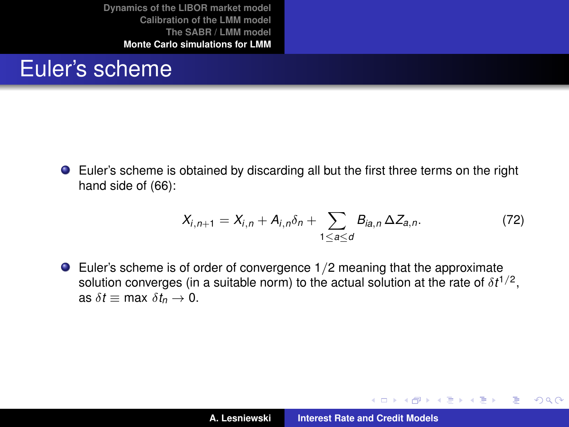#### Euler's scheme

Euler's scheme is obtained by discarding all but the first three terms on the right hand side of [\(66\)](#page-62-0):

$$
X_{i,n+1} = X_{i,n} + A_{i,n} \delta_n + \sum_{1 \le a \le d} B_{ia,n} \Delta Z_{a,n}.
$$
 (72)

(ロトス個) (運) (運)

 $2Q$ 

重

Euler's scheme is of order of convergence 1/2 meaning that the approximate solution converges (in a suitable norm) to the actual solution at the rate of  $\delta t^{1/2},$ as  $\delta t \equiv \max \delta t_n \to 0$ .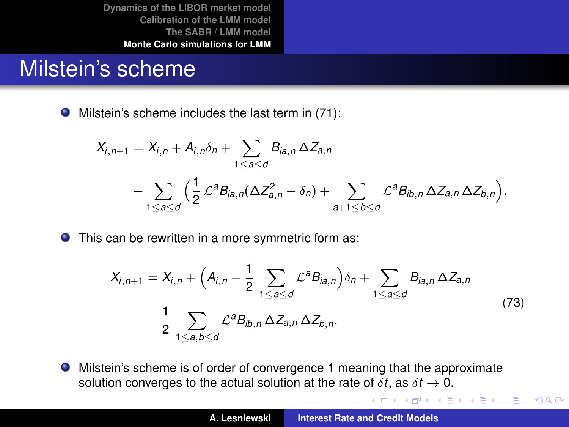#### Milstein's scheme

 $\bullet$  Milstein's scheme includes the last term in [\(71\)](#page-65-0):

$$
X_{i,n+1} = X_{i,n} + A_{i,n} \delta_n + \sum_{1 \leq a \leq d} B_{ia,n} \Delta Z_{a,n}
$$
  
+ 
$$
\sum_{1 \leq a \leq d} \Big( \frac{1}{2} \mathcal{L}^a B_{ia,n} (\Delta Z_{a,n}^2 - \delta_n) + \sum_{a+1 \leq b \leq d} \mathcal{L}^a B_{ib,n} \Delta Z_{a,n} \Delta Z_{b,n} \Big).
$$

**O** This can be rewritten in a more symmetric form as:

$$
X_{i,n+1} = X_{i,n} + \left(A_{i,n} - \frac{1}{2} \sum_{1 \leq a \leq d} \mathcal{L}^a B_{ia,n}\right) \delta_n + \sum_{1 \leq a \leq d} B_{ia,n} \Delta Z_{a,n}
$$
  
+ 
$$
\frac{1}{2} \sum_{1 \leq a,b \leq d} \mathcal{L}^a B_{ib,n} \Delta Z_{a,n} \Delta Z_{b,n}.
$$
 (73)

Milstein's scheme is of order of convergence 1 meaning that the approximate solution converges to the actual solution at the rate of  $\delta t$ , as  $\delta t \to 0$ .

イロメ イ団メ イヨメ イヨメー

重

 $2Q$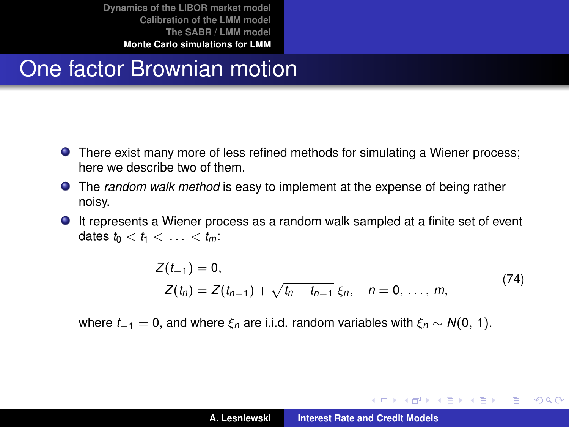## One factor Brownian motion

- There exist many more of less refined methods for simulating a Wiener process; here we describe two of them.
- The *random walk method* is easy to implement at the expense of being rather noisy.
- It represents a Wiener process as a random walk sampled at a finite set of event dates  $t_0 < t_1 < \ldots < t_m$ :

$$
Z(t_{-1}) = 0,
$$
  
\n
$$
Z(t_n) = Z(t_{n-1}) + \sqrt{t_n - t_{n-1}} \xi_n, \quad n = 0, ..., m,
$$
\n(74)

where  $t_{-1} = 0$ , and where  $\xi_n$  are i.i.d. random variables with  $\xi_n \sim N(0, 1)$ .

K ロ ▶ K 御 ▶ K 唐 ▶ K 唐 ▶ 『唐』

 $298$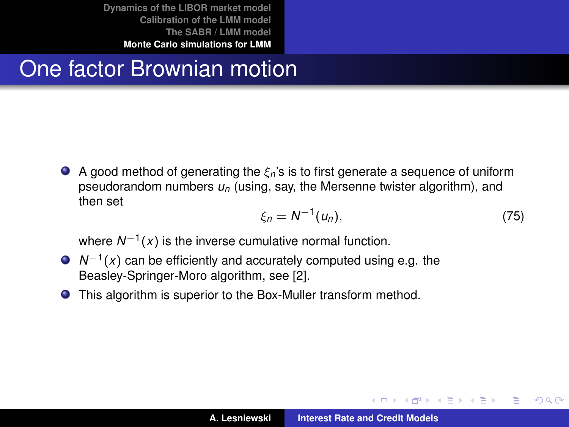# One factor Brownian motion

A good method of generating the ξ*n*'s is to first generate a sequence of uniform pseudorandom numbers *un* (using, say, the Mersenne twister algorithm), and then set

$$
\xi_n = N^{-1}(u_n),\tag{75}
$$

**←ロ→ ←伊→ ←ミ→ ←ミ→** 

Þ  $QQQ$ 

where *N*−<sup>1</sup> (*x*) is the inverse cumulative normal function.

- *N*<sup>−1</sup>(*x*) can be efficiently and accurately computed using e.g. the Beasley-Springer-Moro algorithm, see [\[2\]](#page-84-0).
- This algorithm is superior to the Box-Muller transform method.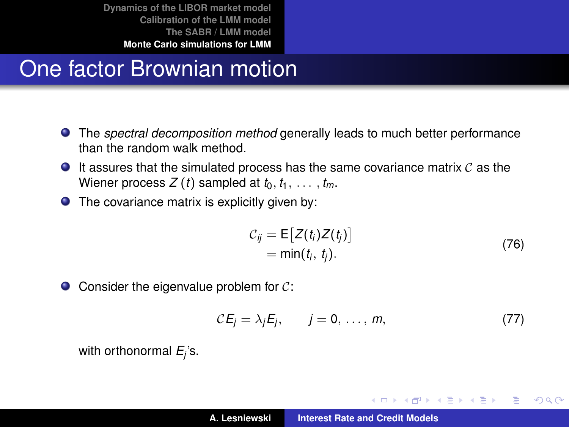# One factor Brownian motion

- The *spectral decomposition method* generally leads to much better performance than the random walk method.
- $\bullet$  It assures that the simulated process has the same covariance matrix  $\mathcal C$  as the Wiener process  $Z(t)$  sampled at  $t_0, t_1, \ldots, t_m$ .
- $\bullet$  The covariance matrix is explicitly given by:

$$
C_{ij} = \mathsf{E}\big[Z(t_i)Z(t_j)\big] = \min(t_i, t_j).
$$
\n(76)

イロメ イ部メ イヨメ イヨメー

重  $2Q$ 

 $\bullet$  Consider the eigenvalue problem for  $\mathcal{C}$ :

$$
CE_j = \lambda_j E_j, \qquad j = 0, \ldots, m,
$$
 (77)

with orthonormal *E<sup>j</sup>* 's.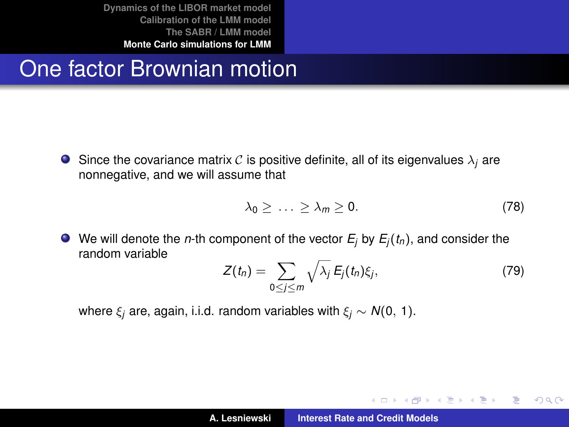## One factor Brownian motion

**Since the covariance matrix C is positive definite, all of its eigenvalues**  $\lambda_i$  **are** nonnegative, and we will assume that

$$
\lambda_0 \geq \ldots \geq \lambda_m \geq 0. \tag{78}
$$

 $\bullet$  We will denote the *n*-th component of the vector  $E_i$  by  $E_i(t_n)$ , and consider the random variable

$$
Z(t_n) = \sum_{0 \le j \le m} \sqrt{\lambda_j} E_j(t_n) \xi_j, \qquad (79)
$$

K ロ ⊁ K 伊 ⊁ K 君 ⊁ K 君 ⊁ …

言い  $2Q$ 

where  $\xi_i$  are, again, i.i.d. random variables with  $\xi_i \sim N(0, 1)$ .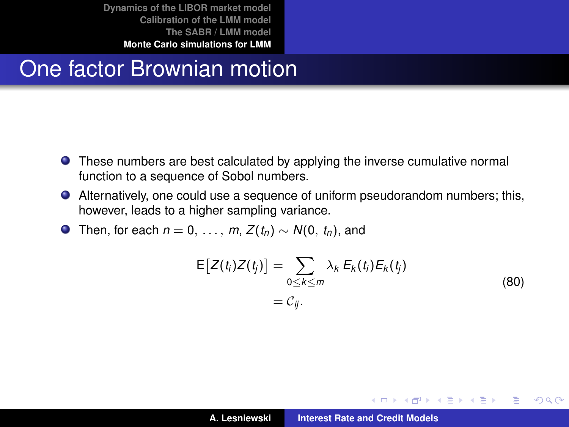## One factor Brownian motion

- **•** These numbers are best calculated by applying the inverse cumulative normal function to a sequence of Sobol numbers.
- Alternatively, one could use a sequence of uniform pseudorandom numbers; this, however, leads to a higher sampling variance.
- **O** Then, for each  $n = 0, \ldots, m$ ,  $Z(t_n) \sim N(0, t_n)$ , and

$$
E[Z(t_i)Z(t_j)] = \sum_{0 \le k \le m} \lambda_k E_k(t_i) E_k(t_j)
$$
  
=  $C_{ij}$ . (80)

イロメ イ団メ イヨメ イヨメー

重

<span id="page-72-0"></span> $298$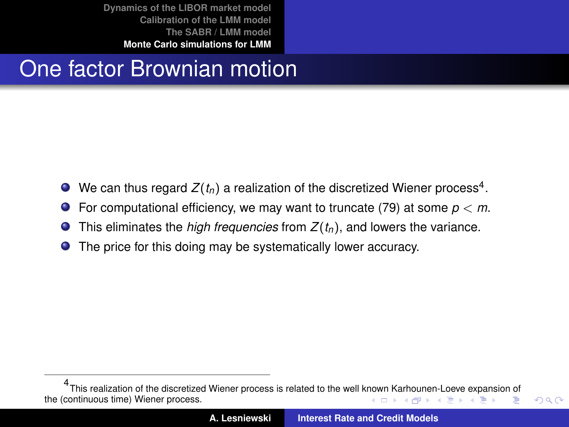# One factor Brownian motion

- We can thus regard  $Z(t_n)$  a realization of the discretized Wiener process<sup>4</sup>.
- **•** For computational efficiency, we may want to truncate [\(79\)](#page-71-0) at some  $p < m$ .
- This eliminates the *high frequencies* from *Z*(*tn*), and lowers the variance.  $\bullet$
- **•** The price for this doing may be systematically lower accuracy.

<span id="page-73-0"></span> $299$ 

<sup>4</sup> This realization of the discretized Wiener process is related to the well k[now](#page-72-0)n [Ka](#page-74-0)[rh](#page-72-0)[oun](#page-73-0)[e](#page-74-0)[n-](#page-48-0)[Lo](#page-49-0)[eve](#page-84-0) [e](#page-48-0)[xp](#page-49-0)[ansi](#page-84-0)[on](#page-0-0) [of](#page-84-0) the (continuous time) Wiener process.  $\left\{ \begin{array}{ccc} 1 & 0 & 0 \\ 0 & 1 & 0 \end{array} \right.$ Þ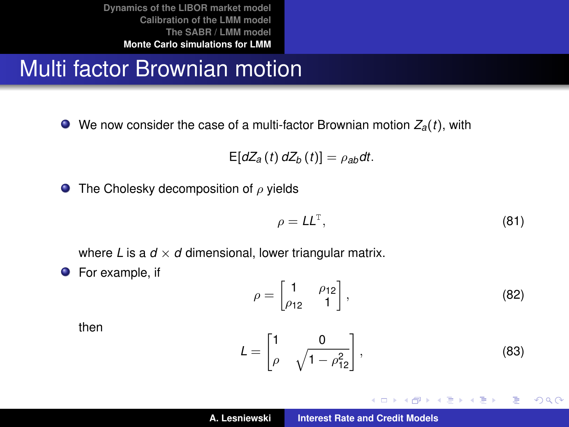# Multi factor Brownian motion

We now consider the case of a multi-factor Brownian motion *Za*(*t*), with

$$
E[dZ_a(t) dZ_b(t)] = \rho_{ab} dt.
$$

**O** The Cholesky decomposition of  $\rho$  yields

$$
\rho = LL^{\mathsf{T}},\tag{81}
$$

where *L* is a  $d \times d$  dimensional, lower triangular matrix.

**•** For example, if

$$
\rho = \begin{bmatrix} 1 & \rho_{12} \\ \rho_{12} & 1 \end{bmatrix},\tag{82}
$$

then

$$
L = \begin{bmatrix} 1 & 0 \\ \rho & \sqrt{1 - \rho_{12}^2} \end{bmatrix},
$$
 (83)

イロメ イ団メ イヨメ イヨメー

<span id="page-74-0"></span> $299$ 重。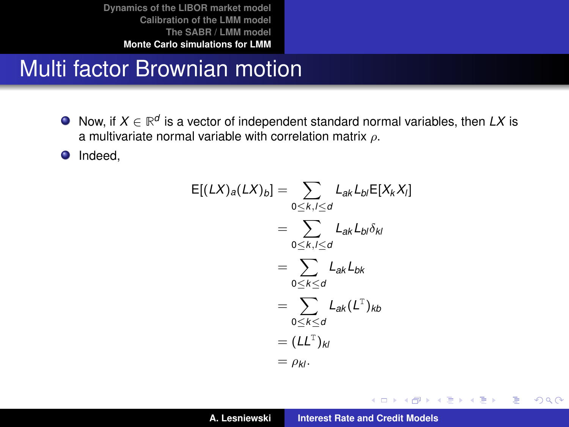## Multi factor Brownian motion

Now, if  $X \in \mathbb{R}^d$  is a vector of independent standard normal variables, then  $LX$  is a multivariate normal variable with correlation matrix  $\rho$ .

**O** Indeed,

$$
E[(LX)a(LX)b] = \sum_{0 \le k,l \le d} L_{ak}L_{b,l}E[X_kX_l]
$$
  
= 
$$
\sum_{0 \le k,l \le d} L_{ak}L_{b,l}\delta_{kl}
$$
  
= 
$$
\sum_{0 \le k \le d} L_{ak}L_{bk}
$$
  
= 
$$
\sum_{0 \le k \le d} L_{ak}(L^T)_{kb}
$$
  
= 
$$
(LL^T)_{kl}
$$
  
= 
$$
\rho_{kl}.
$$

イロメ イ部メ イヨメ イヨメー

 $299$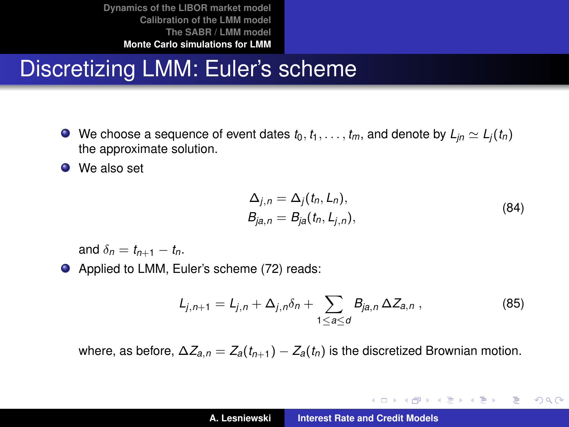# Discretizing LMM: Euler's scheme

 $\bullet$  We choose a sequence of event dates  $t_0, t_1, \ldots, t_m$ , and denote by  $L_{in} \simeq L_i(t_n)$ the approximate solution.

● We also set

$$
\Delta_{j,n} = \Delta_j(t_n, L_n),
$$
  
\n
$$
B_{ja,n} = B_{ja}(t_n, L_{j,n}),
$$
\n(84)

イロン イ母ン イヨン イヨン 一君

 $200$ 

and  $\delta_n = t_{n+1} - t_n$ .

● Applied to LMM, Euler's scheme [\(72\)](#page-66-0) reads:

$$
L_{j,n+1} = L_{j,n} + \Delta_{j,n}\delta_n + \sum_{1 \leq a \leq d} B_{ja,n} \Delta Z_{a,n} , \qquad (85)
$$

where, as before,  $\Delta Z_{a,n} = Z_a(t_{n+1}) - Z_a(t_n)$  is the discretized Brownian motion.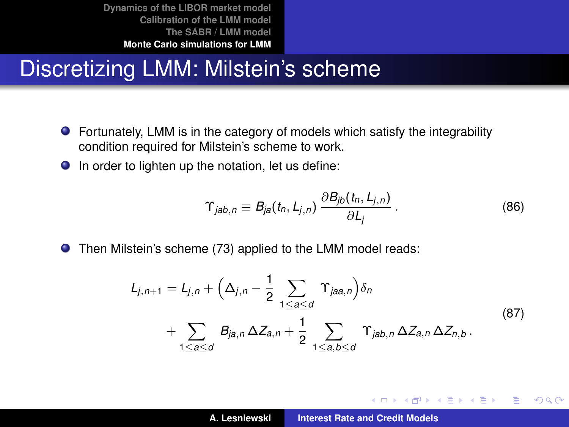#### Discretizing LMM: Milstein's scheme

- Fortunately, LMM is in the category of models which satisfy the integrability condition required for Milstein's scheme to work.
- $\bullet$  In order to lighten up the notation, let us define:

$$
\Upsilon_{jab,n} \equiv B_{ja}(t_n, L_{j,n}) \frac{\partial B_{jb}(t_n, L_{j,n})}{\partial L_j} \,. \tag{86}
$$

イロメ イ部メ イヨメ イヨメー

重

 $298$ 

Then Milstein's scheme [\(73\)](#page-67-0) applied to the LMM model reads:

$$
L_{j,n+1} = L_{j,n} + \left(\Delta_{j,n} - \frac{1}{2} \sum_{1 \le a \le d} \Upsilon_{ja,a,n}\right) \delta_n + \sum_{1 \le a \le d} B_{ja,n} \Delta Z_{a,n} + \frac{1}{2} \sum_{1 \le a,b \le d} \Upsilon_{jab,n} \Delta Z_{a,n} \Delta Z_{n,b}.
$$
 (87)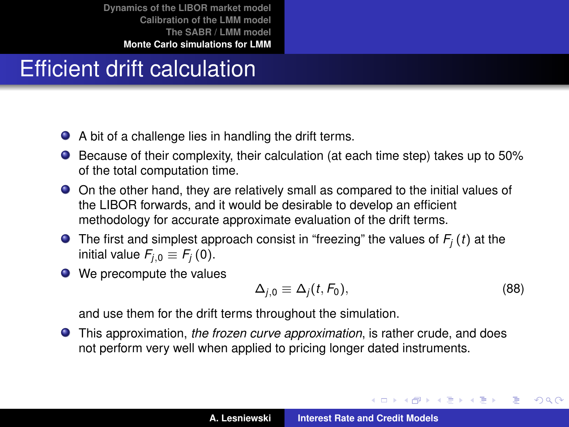# Efficient drift calculation

- A bit of a challenge lies in handling the drift terms.
- Because of their complexity, their calculation (at each time step) takes up to 50% of the total computation time.
- On the other hand, they are relatively small as compared to the initial values of the LIBOR forwards, and it would be desirable to develop an efficient methodology for accurate approximate evaluation of the drift terms.
- **O** The first and simplest approach consist in "freezing" the values of  $F_i(t)$  at the initial value  $F_{i,0} \equiv F_i(0)$ .
- We precompute the values

$$
\Delta_{j,0} \equiv \Delta_j(t, F_0),\tag{88}
$$

イロメ イ部メ イヨメ イヨメー

Þ

 $QQ$ 

and use them for the drift terms throughout the simulation.

This approximation, *the frozen curve approximation*, is rather crude, and does not perform very well when applied to pricing longer dated instruments.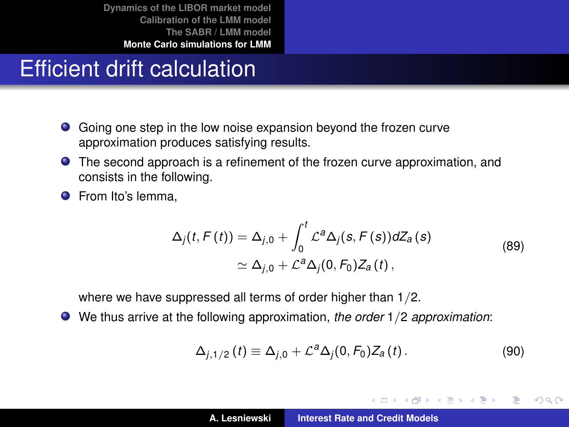# Efficient drift calculation

- Going one step in the low noise expansion beyond the frozen curve approximation produces satisfying results.
- The second approach is a refinement of the frozen curve approximation, and consists in the following.
- **•** From Ito's lemma,

$$
\Delta_j(t, F(t)) = \Delta_{j,0} + \int_0^t \mathcal{L}^a \Delta_j(s, F(s)) dZ_a(s)
$$
  
\n
$$
\simeq \Delta_{j,0} + \mathcal{L}^a \Delta_j(0, F_0) Z_a(t),
$$
\n(89)

where we have suppressed all terms of order higher than 1/2.

We thus arrive at the following approximation, *the order* 1/2 *approximation*:

$$
\Delta_{j,1/2}(t) \equiv \Delta_{j,0} + \mathcal{L}^a \Delta_j(0, F_0) Z_a(t).
$$
 (90)

イロメ イ部メ イヨメ イヨメー

 $299$ 

B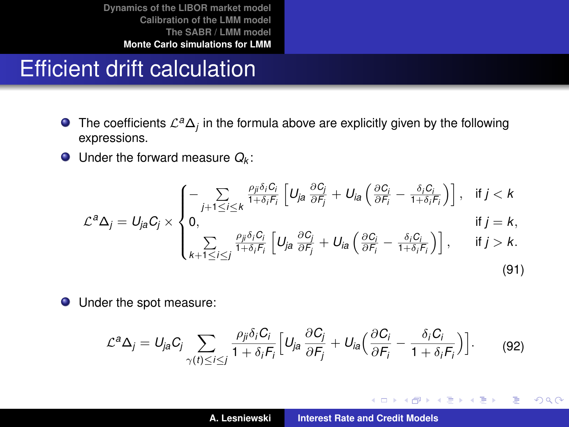### Efficient drift calculation

- The coefficients  $\mathcal{L}^a\Delta_j$  in the formula above are explicitly given by the following expressions.
- Under the forward measure *Q<sup>k</sup>* :

$$
\mathcal{L}^{a}\Delta_{j} = U_{ja}C_{j} \times \begin{cases}\n-\sum_{j+1 \leq i \leq k} \frac{\rho_{ji}\delta_{i}C_{i}}{1+\delta_{i}F_{i}} \left[ U_{ja} \frac{\partial C_{j}}{\partial F_{j}} + U_{ia} \left( \frac{\partial C_{i}}{\partial F_{i}} - \frac{\delta_{i}C_{i}}{1+\delta_{i}F_{i}} \right) \right], & \text{if } j < k \\
0, & \text{if } j = k, \\
\sum_{k+1 \leq i \leq j} \frac{\rho_{ji}\delta_{i}C_{i}}{1+\delta_{i}F_{i}} \left[ U_{ja} \frac{\partial C_{j}}{\partial F_{j}} + U_{ia} \left( \frac{\partial C_{i}}{\partial F_{i}} - \frac{\delta_{i}C_{i}}{1+\delta_{i}F_{i}} \right) \right], & \text{if } j > k.\n\end{cases}
$$
\n(91)

Under the spot measure:

$$
\mathcal{L}^a \Delta_j = U_{ja} C_j \sum_{\gamma(t) \le i \le j} \frac{\rho_{ji} \delta_i C_i}{1 + \delta_i F_i} \Big[ U_{ja} \frac{\partial C_j}{\partial F_j} + U_{ia} \Big( \frac{\partial C_i}{\partial F_i} - \frac{\delta_i C_i}{1 + \delta_i F_i} \Big) \Big]. \tag{92}
$$

イロメ イ部メ イヨメ イヨメー

 $299$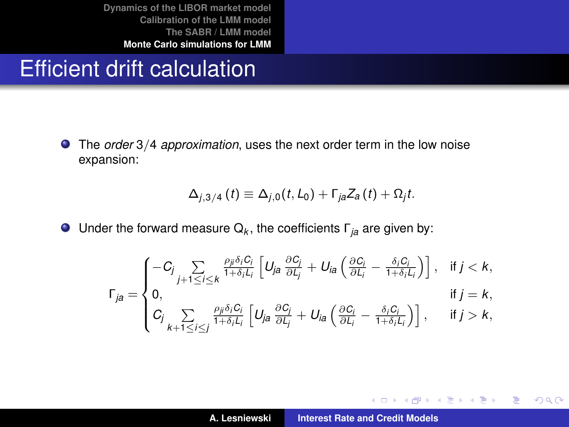#### Efficient drift calculation

The *order* 3/4 *approximation*, uses the next order term in the low noise expansion:

$$
\Delta_{j,3/4}(t) \equiv \Delta_{j,0}(t,L_0) + \Gamma_{ja} Z_a(t) + \Omega_j t.
$$

Under the forward measure Q*<sup>k</sup>* , the coefficients Γ*ja* are given by:

$$
\Gamma_{ja} = \begin{cases}\n-C_j \sum_{j+1 \leq i \leq k} \frac{\rho_{ji} \delta_i C_i}{1 + \delta_i L_i} \left[ U_{ja} \frac{\partial C_j}{\partial L_j} + U_{ia} \left( \frac{\partial C_i}{\partial L_i} - \frac{\delta_i C_i}{1 + \delta_i L_i} \right) \right], & \text{if } j < k, \\
0, & \text{if } j = k, \\
C_j \sum_{k+1 \leq i \leq j} \frac{\rho_{ji} \delta_i C_i}{1 + \delta_i L_i} \left[ U_{ja} \frac{\partial C_i}{\partial L_j} + U_{ia} \left( \frac{\partial C_i}{\partial L_i} - \frac{\delta_i C_i}{1 + \delta_i L_i} \right) \right], & \text{if } j > k,\n\end{cases}
$$

イロメ イ部メ イヨメ イヨメー

 $299$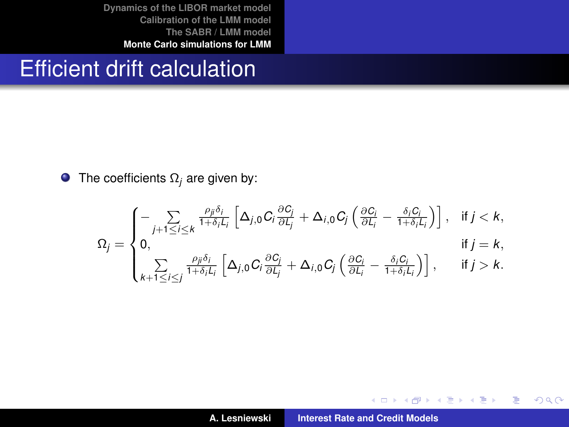#### Efficient drift calculation

**O** The coefficients  $\Omega_i$  are given by:

$$
\Omega_j = \begin{cases}\n-\sum_{j+1 \leq i \leq k} \frac{\rho_{ji} \delta_i}{1 + \delta_i L_i} \left[ \Delta_{j,0} C_i \frac{\partial C_i}{\partial L_j} + \Delta_{i,0} C_j \left( \frac{\partial C_i}{\partial L_i} - \frac{\delta_i C_i}{1 + \delta_i L_i} \right) \right], & \text{if } j < k, \\
0, & \text{if } j = k, \\
\sum_{k+1 \leq i \leq j} \frac{\rho_{ji} \delta_i}{1 + \delta_i L_i} \left[ \Delta_{j,0} C_i \frac{\partial C_i}{\partial L_j} + \Delta_{i,0} C_j \left( \frac{\partial C_i}{\partial L_i} - \frac{\delta_i C_i}{1 + \delta_i L_i} \right) \right], & \text{if } j > k.\n\end{cases}
$$

(ロトス個) (運) (運)

 $299$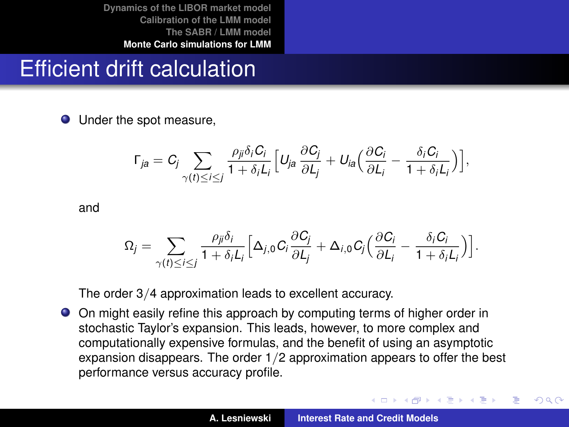## Efficient drift calculation

• Under the spot measure,

$$
\Gamma_{ja}=C_j\sum_{\gamma(t)\leq i\leq j}\frac{\rho_{ji}\delta_iC_i}{1+\delta_iL_i}\Big[U_{ja}\frac{\partial C_j}{\partial L_j}+U_{ia}\Big(\frac{\partial C_i}{\partial L_i}-\frac{\delta_iC_i}{1+\delta_iL_i}\Big)\Big],
$$

and

$$
\Omega_j = \sum_{\gamma(t) \leq i \leq j} \frac{\rho_{ji} \delta_i}{1 + \delta_i L_i} \Big[ \Delta_{j,0} C_i \frac{\partial C_j}{\partial L_j} + \Delta_{i,0} C_j \Big( \frac{\partial C_i}{\partial L_i} - \frac{\delta_i C_i}{1 + \delta_i L_i} \Big) \Big].
$$

The order 3/4 approximation leads to excellent accuracy.

On might easily refine this approach by computing terms of higher order in stochastic Taylor's expansion. This leads, however, to more complex and computationally expensive formulas, and the benefit of using an asymptotic expansion disappears. The order 1/2 approximation appears to offer the best performance versus accuracy profile.

イロメ イ部メ イヨメ イヨメー

 $QQ$ 

Þ